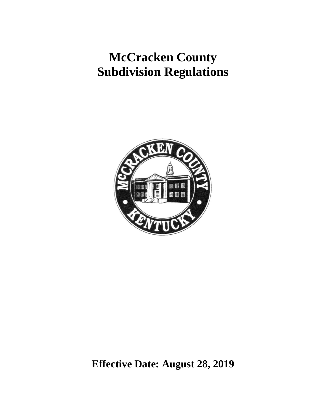# **McCracken County Subdivision Regulations**



**Effective Date: August 28, 2019**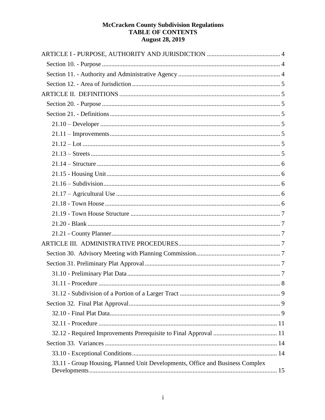# **McCracken County Subdivision Regulations<br>TABLE OF CONTENTS August 28, 2019**

| 33.11 - Group Housing, Planned Unit Developments, Office and Business Complex |  |
|-------------------------------------------------------------------------------|--|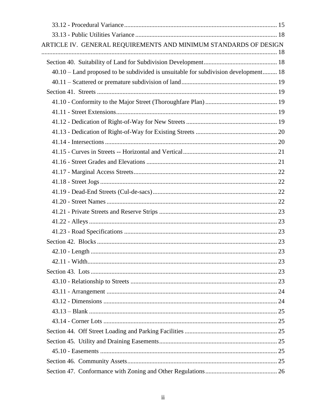| ARTICLE IV. GENERAL REQUIREMENTS AND MINIMUM STANDARDS OF DESIGN                    |  |
|-------------------------------------------------------------------------------------|--|
|                                                                                     |  |
| 40.10 - Land proposed to be subdivided is unsuitable for subdivision development 18 |  |
|                                                                                     |  |
|                                                                                     |  |
|                                                                                     |  |
|                                                                                     |  |
|                                                                                     |  |
|                                                                                     |  |
|                                                                                     |  |
|                                                                                     |  |
|                                                                                     |  |
|                                                                                     |  |
|                                                                                     |  |
|                                                                                     |  |
|                                                                                     |  |
|                                                                                     |  |
|                                                                                     |  |
|                                                                                     |  |
|                                                                                     |  |
|                                                                                     |  |
|                                                                                     |  |
|                                                                                     |  |
|                                                                                     |  |
|                                                                                     |  |
|                                                                                     |  |
|                                                                                     |  |
|                                                                                     |  |
|                                                                                     |  |
|                                                                                     |  |
|                                                                                     |  |
|                                                                                     |  |
|                                                                                     |  |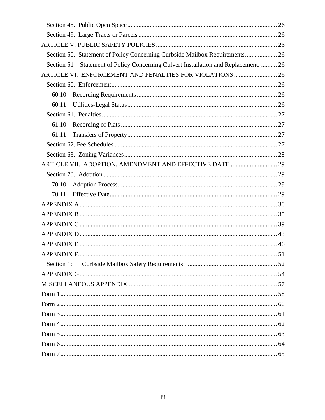| Section 50. Statement of Policy Concerning Curbside Mailbox Requirements 26           |  |
|---------------------------------------------------------------------------------------|--|
| Section 51 – Statement of Policy Concerning Culvert Installation and Replacement.  26 |  |
| ARTICLE VI. ENFORCEMENT AND PENALTIES FOR VIOLATIONS  26                              |  |
|                                                                                       |  |
|                                                                                       |  |
|                                                                                       |  |
|                                                                                       |  |
|                                                                                       |  |
|                                                                                       |  |
|                                                                                       |  |
|                                                                                       |  |
|                                                                                       |  |
|                                                                                       |  |
|                                                                                       |  |
|                                                                                       |  |
|                                                                                       |  |
|                                                                                       |  |
|                                                                                       |  |
|                                                                                       |  |
|                                                                                       |  |
|                                                                                       |  |
| Section 1:                                                                            |  |
|                                                                                       |  |
|                                                                                       |  |
|                                                                                       |  |
|                                                                                       |  |
|                                                                                       |  |
|                                                                                       |  |
|                                                                                       |  |
|                                                                                       |  |
|                                                                                       |  |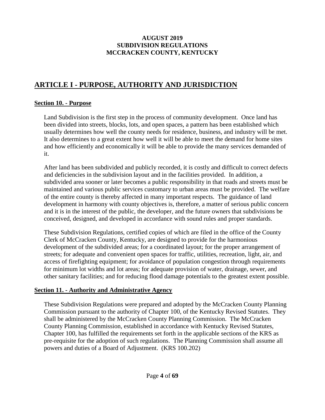# **AUGUST 2019 SUBDIVISION REGULATIONS MCCRACKEN COUNTY, KENTUCKY**

# <span id="page-4-0"></span>**ARTICLE I - PURPOSE, AUTHORITY AND JURISDICTION**

# <span id="page-4-1"></span>**Section 10. - Purpose**

Land Subdivision is the first step in the process of community development. Once land has been divided into streets, blocks, lots, and open spaces, a pattern has been established which usually determines how well the county needs for residence, business, and industry will be met. It also determines to a great extent how well it will be able to meet the demand for home sites and how efficiently and economically it will be able to provide the many services demanded of it.

After land has been subdivided and publicly recorded, it is costly and difficult to correct defects and deficiencies in the subdivision layout and in the facilities provided. In addition, a subdivided area sooner or later becomes a public responsibility in that roads and streets must be maintained and various public services customary to urban areas must be provided. The welfare of the entire county is thereby affected in many important respects. The guidance of land development in harmony with county objectives is, therefore, a matter of serious public concern and it is in the interest of the public, the developer, and the future owners that subdivisions be conceived, designed, and developed in accordance with sound rules and proper standards.

These Subdivision Regulations, certified copies of which are filed in the office of the County Clerk of McCracken County, Kentucky, are designed to provide for the harmonious development of the subdivided areas; for a coordinated layout; for the proper arrangement of streets; for adequate and convenient open spaces for traffic, utilities, recreation, light, air, and access of firefighting equipment; for avoidance of population congestion through requirements for minimum lot widths and lot areas; for adequate provision of water, drainage, sewer, and other sanitary facilities; and for reducing flood damage potentials to the greatest extent possible.

# <span id="page-4-2"></span>**Section 11. - Authority and Administrative Agency**

These Subdivision Regulations were prepared and adopted by the McCracken County Planning Commission pursuant to the authority of Chapter 100, of the Kentucky Revised Statutes. They shall be administered by the McCracken County Planning Commission. The McCracken County Planning Commission, established in accordance with Kentucky Revised Statutes, Chapter 100, has fulfilled the requirements set forth in the applicable sections of the KRS as pre-requisite for the adoption of such regulations. The Planning Commission shall assume all powers and duties of a Board of Adjustment. (KRS 100.202)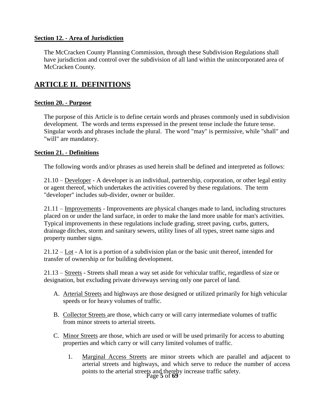#### <span id="page-5-0"></span>**Section 12. - Area of Jurisdiction**

The McCracken County Planning Commission, through these Subdivision Regulations shall have jurisdiction and control over the subdivision of all land within the unincorporated area of McCracken County.

# <span id="page-5-1"></span>**ARTICLE II. DEFINITIONS**

#### <span id="page-5-2"></span>**Section 20. - Purpose**

The purpose of this Article is to define certain words and phrases commonly used in subdivision development. The words and terms expressed in the present tense include the future tense. Singular words and phrases include the plural. The word "may" is permissive, while "shall" and "will" are mandatory.

#### <span id="page-5-3"></span>**Section 21. - Definitions**

The following words and/or phrases as used herein shall be defined and interpreted as follows:

<span id="page-5-4"></span>21.10 – Developer - A developer is an individual, partnership, corporation, or other legal entity or agent thereof, which undertakes the activities covered by these regulations. The term "developer" includes sub-divider, owner or builder.

<span id="page-5-5"></span>21.11 – Improvements - Improvements are physical changes made to land, including structures placed on or under the land surface, in order to make the land more usable for man's activities. Typical improvements in these regulations include grading, street paving, curbs, gutters, drainage ditches, storm and sanitary sewers, utility lines of all types, street name signs and property number signs.

<span id="page-5-6"></span>21.12 – Lot - A lot is a portion of a subdivision plan or the basic unit thereof, intended for transfer of ownership or for building development.

<span id="page-5-7"></span>21.13 – Streets - Streets shall mean a way set aside for vehicular traffic, regardless of size or designation, but excluding private driveways serving only one parcel of land.

- A. Arterial Streets and highways are those designed or utilized primarily for high vehicular speeds or for heavy volumes of traffic.
- B. Collector Streets are those, which carry or will carry intermediate volumes of traffic from minor streets to arterial streets.
- C. Minor Streets are those, which are used or will be used primarily for access to abutting properties and which carry or will carry limited volumes of traffic.
	- Page **5** of **69** 1. Marginal Access Streets are minor streets which are parallel and adjacent to arterial streets and highways, and which serve to reduce the number of access points to the arterial streets and thereby increase traffic safety.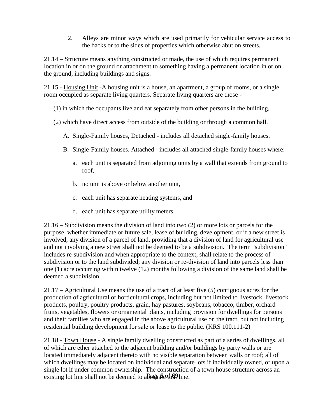2. Alleys are minor ways which are used primarily for vehicular service access to the backs or to the sides of properties which otherwise abut on streets.

<span id="page-6-0"></span>21.14 – Structure means anything constructed or made, the use of which requires permanent location in or on the ground or attachment to something having a permanent location in or on the ground, including buildings and signs.

<span id="page-6-1"></span>21.15 - Housing Unit -A housing unit is a house, an apartment, a group of rooms, or a single room occupied as separate living quarters. Separate living quarters are those -

- (1) in which the occupants live and eat separately from other persons in the building,
- (2) which have direct access from outside of the building or through a common hall.
	- A. Single-Family houses, Detached includes all detached single-family houses.
	- B. Single-Family houses, Attached includes all attached single-family houses where:
		- a. each unit is separated from adjoining units by a wall that extends from ground to roof,
		- b. no unit is above or below another unit,
		- c. each unit has separate heating systems, and
		- d. each unit has separate utility meters.

<span id="page-6-2"></span>21.16 – Subdivision means the division of land into two (2) or more lots or parcels for the purpose, whether immediate or future sale, lease of building, development, or if a new street is involved, any division of a parcel of land, providing that a division of land for agricultural use and not involving a new street shall not be deemed to be a subdivision. The term "subdivision" includes re-subdivision and when appropriate to the context, shall relate to the process of subdivision or to the land subdivided; any division or re-division of land into parcels less than one (1) acre occurring within twelve (12) months following a division of the same land shall be deemed a subdivision.

<span id="page-6-3"></span>21.17 – Agricultural Use means the use of a tract of at least five (5) contiguous acres for the production of agricultural or horticultural crops, including but not limited to livestock, livestock products, poultry, poultry products, grain, hay pastures, soybeans, tobacco, timber, orchard fruits, vegetables, flowers or ornamental plants, including provision for dwellings for persons and their families who are engaged in the above agricultural use on the tract, but not including residential building development for sale or lease to the public. (KRS 100.111-2)

<span id="page-6-4"></span>existing lot line shall not be deemed to aBregate othe? line. 21.18 - Town House - A single family dwelling constructed as part of a series of dwellings, all of which are ether attached to the adjacent building and/or buildings by party walls or are located immediately adjacent thereto with no visible separation between walls or roof; all of which dwellings may be located on individual and separate lots if individually owned, or upon a single lot if under common ownership. The construction of a town house structure across an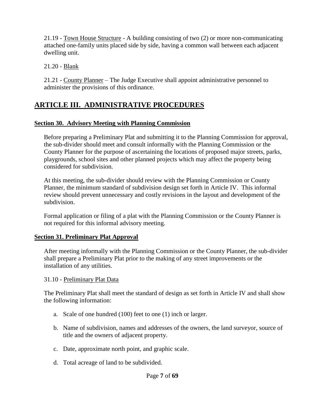<span id="page-7-0"></span>21.19 - Town House Structure - A building consisting of two (2) or more non-communicating attached one-family units placed side by side, having a common wall between each adjacent dwelling unit.

<span id="page-7-1"></span>21.20 - Blank

<span id="page-7-2"></span>21.21 - County Planner – The Judge Executive shall appoint administrative personnel to administer the provisions of this ordinance.

# <span id="page-7-3"></span>**ARTICLE III. ADMINISTRATIVE PROCEDURES**

# <span id="page-7-4"></span>**Section 30. Advisory Meeting with Planning Commission**

Before preparing a Preliminary Plat and submitting it to the Planning Commission for approval, the sub-divider should meet and consult informally with the Planning Commission or the County Planner for the purpose of ascertaining the locations of proposed major streets, parks, playgrounds, school sites and other planned projects which may affect the property being considered for subdivision.

At this meeting, the sub-divider should review with the Planning Commission or County Planner, the minimum standard of subdivision design set forth in Article IV. This informal review should prevent unnecessary and costly revisions in the layout and development of the subdivision.

Formal application or filing of a plat with the Planning Commission or the County Planner is not required for this informal advisory meeting.

# <span id="page-7-5"></span>**Section 31. Preliminary Plat Approval**

After meeting informally with the Planning Commission or the County Planner, the sub-divider shall prepare a Preliminary Plat prior to the making of any street improvements or the installation of any utilities.

<span id="page-7-6"></span>31.10 - Preliminary Plat Data

The Preliminary Plat shall meet the standard of design as set forth in Article IV and shall show the following information:

- a. Scale of one hundred (100) feet to one (1) inch or larger.
- b. Name of subdivision, names and addresses of the owners, the land surveyor, source of title and the owners of adjacent property.
- c. Date, approximate north point, and graphic scale.
- d. Total acreage of land to be subdivided.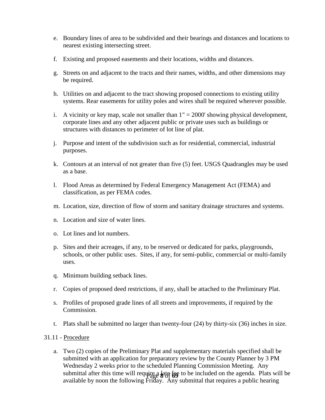- e. Boundary lines of area to be subdivided and their bearings and distances and locations to nearest existing intersecting street.
- f. Existing and proposed easements and their locations, widths and distances.
- g. Streets on and adjacent to the tracts and their names, widths, and other dimensions may be required.
- h. Utilities on and adjacent to the tract showing proposed connections to existing utility systems. Rear easements for utility poles and wires shall be required wherever possible.
- i. A vicinity or key map, scale not smaller than  $1" = 2000'$  showing physical development, corporate lines and any other adjacent public or private uses such as buildings or structures with distances to perimeter of lot line of plat.
- j. Purpose and intent of the subdivision such as for residential, commercial, industrial purposes.
- k. Contours at an interval of not greater than five (5) feet. USGS Quadrangles may be used as a base.
- l. Flood Areas as determined by Federal Emergency Management Act (FEMA) and classification, as per FEMA codes.
- m. Location, size, direction of flow of storm and sanitary drainage structures and systems.
- n. Location and size of water lines.
- o. Lot lines and lot numbers.
- p. Sites and their acreages, if any, to be reserved or dedicated for parks, playgrounds, schools, or other public uses. Sites, if any, for semi-public, commercial or multi-family uses.
- q. Minimum building setback lines.
- r. Copies of proposed deed restrictions, if any, shall be attached to the Preliminary Plat.
- s. Profiles of proposed grade lines of all streets and improvements, if required by the Commission.
- t. Plats shall be submitted no larger than twenty-four (24) by thirty-six (36) inches in size.

#### <span id="page-8-0"></span>31.11 - Procedure

submittal after this time will require a late fee to be included on the agenda. Plats will be a. Two (2) copies of the Preliminary Plat and supplementary materials specified shall be submitted with an application for preparatory review by the County Planner by 3 PM Wednesday 2 weeks prior to the scheduled Planning Commission Meeting. Any available by noon the following Friday. Any submittal that requires a public hearing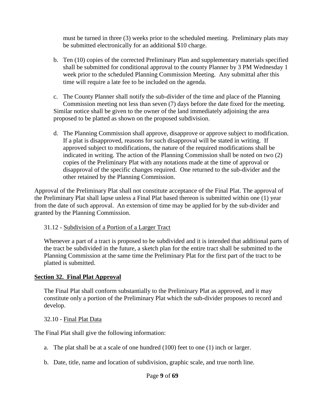must be turned in three (3) weeks prior to the scheduled meeting. Preliminary plats may be submitted electronically for an additional \$10 charge.

- b. Ten (10) copies of the corrected Preliminary Plan and supplementary materials specified shall be submitted for conditional approval to the county Planner by 3 PM Wednesday 1 week prior to the scheduled Planning Commission Meeting. Any submittal after this time will require a late fee to be included on the agenda.
- c. The County Planner shall notify the sub-divider of the time and place of the Planning Commission meeting not less than seven (7) days before the date fixed for the meeting. Similar notice shall be given to the owner of the land immediately adjoining the area proposed to be platted as shown on the proposed subdivision.
- d. The Planning Commission shall approve, disapprove or approve subject to modification. If a plat is disapproved, reasons for such disapproval will be stated in writing. If approved subject to modifications, the nature of the required modifications shall be indicated in writing. The action of the Planning Commission shall be noted on two (2) copies of the Preliminary Plat with any notations made at the time of approval or disapproval of the specific changes required. One returned to the sub-divider and the other retained by the Planning Commission.

Approval of the Preliminary Plat shall not constitute acceptance of the Final Plat. The approval of the Preliminary Plat shall lapse unless a Final Plat based thereon is submitted within one (1) year from the date of such approval. An extension of time may be applied for by the sub-divider and granted by the Planning Commission.

# <span id="page-9-0"></span>31.12 - Subdivision of a Portion of a Larger Tract

Whenever a part of a tract is proposed to be subdivided and it is intended that additional parts of the tract be subdivided in the future, a sketch plan for the entire tract shall be submitted to the Planning Commission at the same time the Preliminary Plat for the first part of the tract to be platted is submitted.

# <span id="page-9-1"></span>**Section 32. Final Plat Approval**

The Final Plat shall conform substantially to the Preliminary Plat as approved, and it may constitute only a portion of the Preliminary Plat which the sub-divider proposes to record and develop.

# <span id="page-9-2"></span>32.10 - Final Plat Data

The Final Plat shall give the following information:

- a. The plat shall be at a scale of one hundred (100) feet to one (1) inch or larger.
- b. Date, title, name and location of subdivision, graphic scale, and true north line.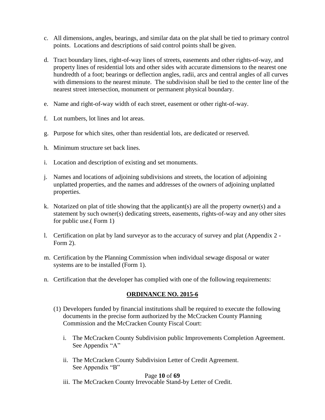- c. All dimensions, angles, bearings, and similar data on the plat shall be tied to primary control points. Locations and descriptions of said control points shall be given.
- d. Tract boundary lines, right-of-way lines of streets, easements and other rights-of-way, and property lines of residential lots and other sides with accurate dimensions to the nearest one hundredth of a foot; bearings or deflection angles, radii, arcs and central angles of all curves with dimensions to the nearest minute. The subdivision shall be tied to the center line of the nearest street intersection, monument or permanent physical boundary.
- e. Name and right-of-way width of each street, easement or other right-of-way.
- f. Lot numbers, lot lines and lot areas.
- g. Purpose for which sites, other than residential lots, are dedicated or reserved.
- h. Minimum structure set back lines.
- i. Location and description of existing and set monuments.
- j. Names and locations of adjoining subdivisions and streets, the location of adjoining unplatted properties, and the names and addresses of the owners of adjoining unplatted properties.
- k. Notarized on plat of title showing that the applicant(s) are all the property owner(s) and a statement by such owner(s) dedicating streets, easements, rights-of-way and any other sites for public use.( Form 1)
- l. Certification on plat by land surveyor as to the accuracy of survey and plat (Appendix 2 Form 2).
- m. Certification by the Planning Commission when individual sewage disposal or water systems are to be installed (Form 1).
- n. Certification that the developer has complied with one of the following requirements:

## **ORDINANCE NO. 2015-6**

- (1) Developers funded by financial institutions shall be required to execute the following documents in the precise form authorized by the McCracken County Planning Commission and the McCracken County Fiscal Court:
	- i. The McCracken County Subdivision public Improvements Completion Agreement. See Appendix "A"
	- ii. The McCracken County Subdivision Letter of Credit Agreement. See Appendix "B"

#### Page **10** of **69**

iii. The McCracken County Irrevocable Stand-by Letter of Credit.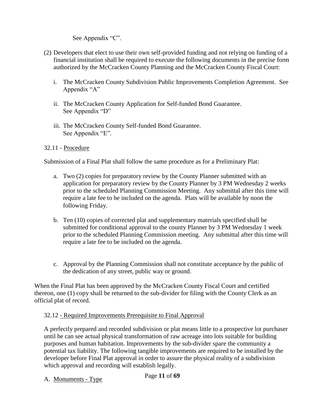See Appendix "C".

- (2) Developers that elect to use their own self-provided funding and not relying on funding of a financial institution shall be required to execute the following documents in the precise form authorized by the McCracken County Planning and the McCracken County Fiscal Court:
	- i. The McCracken County Subdivision Public Improvements Completion Agreement. See Appendix "A"
	- ii. The McCracken County Application for Self-funded Bond Guarantee. See Appendix "D"
	- iii. The McCracken County Self-funded Bond Guarantee. See Appendix "E".

# <span id="page-11-0"></span>32.11 - Procedure

Submission of a Final Plat shall follow the same procedure as for a Preliminary Plat:

- a. Two (2) copies for preparatory review by the County Planner submitted with an application for preparatory review by the County Planner by 3 PM Wednesday 2 weeks prior to the scheduled Planning Commission Meeting. Any submittal after this time will require a late fee to be included on the agenda. Plats will be available by noon the following Friday.
- b. Ten (10) copies of corrected plat and supplementary materials specified shall be submitted for conditional approval to the county Planner by 3 PM Wednesday 1 week prior to the scheduled Planning Commission meeting. Any submittal after this time will require a late fee to be included on the agenda.
- c. Approval by the Planning Commission shall not constitute acceptance by the public of the dedication of any street, public way or ground.

When the Final Plat has been approved by the McCracken County Fiscal Court and certified thereon, one (1) copy shall be returned to the sub-divider for filing with the County Clerk as an official plat of record.

## <span id="page-11-1"></span>32.12 - Required Improvements Prerequisite to Final Approval

A perfectly prepared and recorded subdivision or plat means little to a prospective lot purchaser until he can see actual physical transformation of raw acreage into lots suitable for building purposes and human habitation. Improvements by the sub-divider spare the community a potential tax liability. The following tangible improvements are required to be installed by the developer before Final Plat approval in order to assure the physical reality of a subdivision which approval and recording will establish legally.

Page **11** of **69** A. Monuments - Type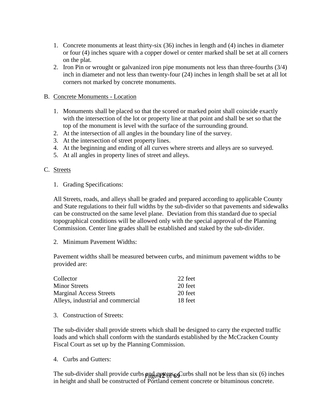- 1. Concrete monuments at least thirty-six (36) inches in length and (4) inches in diameter or four (4) inches square with a copper dowel or center marked shall be set at all corners on the plat.
- 2. Iron Pin or wrought or galvanized iron pipe monuments not less than three-fourths (3/4) inch in diameter and not less than twenty-four (24) inches in length shall be set at all lot corners not marked by concrete monuments.

#### B. Concrete Monuments - Location

- 1. Monuments shall be placed so that the scored or marked point shall coincide exactly with the intersection of the lot or property line at that point and shall be set so that the top of the monument is level with the surface of the surrounding ground.
- 2. At the intersection of all angles in the boundary line of the survey.
- 3. At the intersection of street property lines.
- 4. At the beginning and ending of all curves where streets and alleys are so surveyed.
- 5. At all angles in property lines of street and alleys.

#### C. Streets

1. Grading Specifications:

All Streets, roads, and alleys shall be graded and prepared according to applicable County and State regulations to their full widths by the sub-divider so that pavements and sidewalks can be constructed on the same level plane. Deviation from this standard due to special topographical conditions will be allowed only with the special approval of the Planning Commission. Center line grades shall be established and staked by the sub-divider.

2. Minimum Pavement Widths:

Pavement widths shall be measured between curbs, and minimum pavement widths to be provided are:

| Collector                         | 22 feet |
|-----------------------------------|---------|
| <b>Minor Streets</b>              | 20 feet |
| <b>Marginal Access Streets</b>    | 20 feet |
| Alleys, industrial and commercial | 18 feet |

3. Construction of Streets:

The sub-divider shall provide streets which shall be designed to carry the expected traffic loads and which shall conform with the standards established by the McCracken County Fiscal Court as set up by the Planning Commission.

4. Curbs and Gutters:

The sub-divider shall provide curbs **and equal temps of** Curbs shall not be less than six (6) inches in height and shall be constructed of Portland cement concrete or bituminous concrete.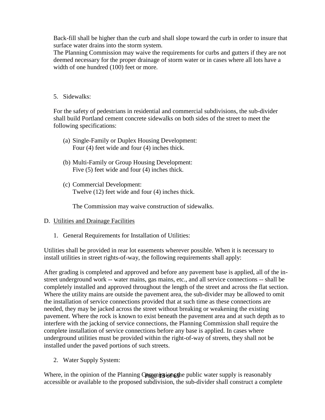Back-fill shall be higher than the curb and shall slope toward the curb in order to insure that surface water drains into the storm system.

The Planning Commission may waive the requirements for curbs and gutters if they are not deemed necessary for the proper drainage of storm water or in cases where all lots have a width of one hundred (100) feet or more.

5. Sidewalks:

For the safety of pedestrians in residential and commercial subdivisions, the sub-divider shall build Portland cement concrete sidewalks on both sides of the street to meet the following specifications:

- (a) Single-Family or Duplex Housing Development: Four (4) feet wide and four (4) inches thick.
- (b) Multi-Family or Group Housing Development: Five (5) feet wide and four (4) inches thick.
- (c) Commercial Development: Twelve (12) feet wide and four (4) inches thick.

The Commission may waive construction of sidewalks.

## D. Utilities and Drainage Facilities

1. General Requirements for Installation of Utilities:

Utilities shall be provided in rear lot easements wherever possible. When it is necessary to install utilities in street rights-of-way, the following requirements shall apply:

After grading is completed and approved and before any pavement base is applied, all of the instreet underground work -- water mains, gas mains, etc., and all service connections -- shall be completely installed and approved throughout the length of the street and across the flat section. Where the utility mains are outside the pavement area, the sub-divider may be allowed to omit the installation of service connections provided that at such time as these connections are needed, they may be jacked across the street without breaking or weakening the existing pavement. Where the rock is known to exist beneath the pavement area and at such depth as to interfere with the jacking of service connections, the Planning Commission shall require the complete installation of service connections before any base is applied. In cases where underground utilities must be provided within the right-of-way of streets, they shall not be installed under the paved portions of such streets.

2. Water Supply System:

Where, in the opinion of the Planning Compution of the public water supply is reasonably accessible or available to the proposed subdivision, the sub-divider shall construct a complete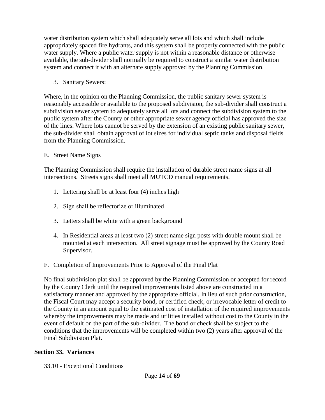water distribution system which shall adequately serve all lots and which shall include appropriately spaced fire hydrants, and this system shall be properly connected with the public water supply. Where a public water supply is not within a reasonable distance or otherwise available, the sub-divider shall normally be required to construct a similar water distribution system and connect it with an alternate supply approved by the Planning Commission.

3. Sanitary Sewers:

Where, in the opinion on the Planning Commission, the public sanitary sewer system is reasonably accessible or available to the proposed subdivision, the sub-divider shall construct a subdivision sewer system to adequately serve all lots and connect the subdivision system to the public system after the County or other appropriate sewer agency official has approved the size of the lines. Where lots cannot be served by the extension of an existing public sanitary sewer, the sub-divider shall obtain approval of lot sizes for individual septic tanks and disposal fields from the Planning Commission.

# E. Street Name Signs

The Planning Commission shall require the installation of durable street name signs at all intersections. Streets signs shall meet all MUTCD manual requirements.

- 1. Lettering shall be at least four (4) inches high
- 2. Sign shall be reflectorize or illuminated
- 3. Letters shall be white with a green background
- 4. In Residential areas at least two (2) street name sign posts with double mount shall be mounted at each intersection. All street signage must be approved by the County Road Supervisor.

# F. Completion of Improvements Prior to Approval of the Final Plat

No final subdivision plat shall be approved by the Planning Commission or accepted for record by the County Clerk until the required improvements listed above are constructed in a satisfactory manner and approved by the appropriate official. In lieu of such prior construction, the Fiscal Court may accept a security bond, or certified check, or irrevocable letter of credit to the County in an amount equal to the estimated cost of installation of the required improvements whereby the improvements may be made and utilities installed without cost to the County in the event of default on the part of the sub-divider. The bond or check shall be subject to the conditions that the improvements will be completed within two (2) years after approval of the Final Subdivision Plat.

# <span id="page-14-0"></span>**Section 33. Variances**

<span id="page-14-1"></span>33.10 - Exceptional Conditions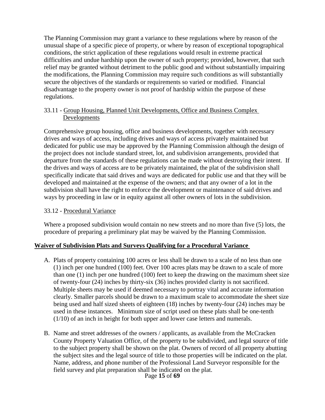The Planning Commission may grant a variance to these regulations where by reason of the unusual shape of a specific piece of property, or where by reason of exceptional topographical conditions, the strict application of these regulations would result in extreme practical difficulties and undue hardship upon the owner of such property; provided, however, that such relief may be granted without detriment to the public good and without substantially impairing the modifications, the Planning Commission may require such conditions as will substantially secure the objectives of the standards or requirements so varied or modified. Financial disadvantage to the property owner is not proof of hardship within the purpose of these regulations.

## <span id="page-15-0"></span>33.11 - Group Housing, Planned Unit Developments, Office and Business Complex Developments

Comprehensive group housing, office and business developments, together with necessary drives and ways of access, including drives and ways of access privately maintained but dedicated for public use may be approved by the Planning Commission although the design of the project does not include standard street, lot, and subdivision arrangements, provided that departure from the standards of these regulations can be made without destroying their intent. If the drives and ways of access are to be privately maintained, the plat of the subdivision shall specifically indicate that said drives and ways are dedicated for public use and that they will be developed and maintained at the expense of the owners; and that any owner of a lot in the subdivision shall have the right to enforce the development or maintenance of said drives and ways by proceeding in law or in equity against all other owners of lots in the subdivision.

## <span id="page-15-1"></span>33.12 - Procedural Variance

Where a proposed subdivision would contain no new streets and no more than five (5) lots, the procedure of preparing a preliminary plat may be waived by the Planning Commission.

## **Waiver of Subdivision Plats and Surveys Qualifying for a Procedural Variance**

- A. Plats of property containing 100 acres or less shall be drawn to a scale of no less than one (1) inch per one hundred (100) feet. Over 100 acres plats may be drawn to a scale of more than one (1) inch per one hundred (100) feet to keep the drawing on the maximum sheet size of twenty-four (24) inches by thirty-six (36) inches provided clarity is not sacrificed. Multiple sheets may be used if deemed necessary to portray vital and accurate information clearly. Smaller parcels should be drawn to a maximum scale to accommodate the sheet size being used and half sized sheets of eighteen (18) inches by twenty-four (24) inches may be used in these instances. Minimum size of script used on these plats shall be one-tenth (1/10) of an inch in height for both upper and lower case letters and numerals.
- B. Name and street addresses of the owners / applicants, as available from the McCracken County Property Valuation Office, of the property to be subdivided, and legal source of title to the subject property shall be shown on the plat. Owners of record of all property abutting the subject sites and the legal source of title to those properties will be indicated on the plat. Name, address, and phone number of the Professional Land Surveyor responsible for the field survey and plat preparation shall be indicated on the plat.

Page **15** of **69**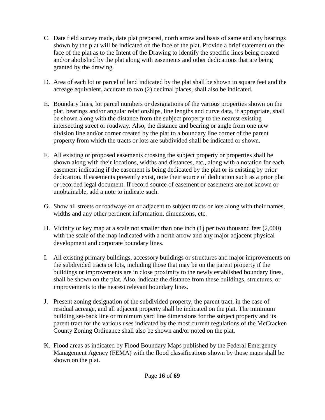- C. Date field survey made, date plat prepared, north arrow and basis of same and any bearings shown by the plat will be indicated on the face of the plat. Provide a brief statement on the face of the plat as to the Intent of the Drawing to identify the specific lines being created and/or abolished by the plat along with easements and other dedications that are being granted by the drawing.
- D. Area of each lot or parcel of land indicated by the plat shall be shown in square feet and the acreage equivalent, accurate to two (2) decimal places, shall also be indicated.
- E. Boundary lines, lot parcel numbers or designations of the various properties shown on the plat, bearings and/or angular relationships, line lengths and curve data, if appropriate, shall be shown along with the distance from the subject property to the nearest existing intersecting street or roadway. Also, the distance and bearing or angle from one new division line and/or corner created by the plat to a boundary line corner of the parent property from which the tracts or lots are subdivided shall be indicated or shown.
- F. All existing or proposed easements crossing the subject property or properties shall be shown along with their locations, widths and distances, etc., along with a notation for each easement indicating if the easement is being dedicated by the plat or is existing by prior dedication. If easements presently exist, note their source of dedication such as a prior plat or recorded legal document. If record source of easement or easements are not known or unobtainable, add a note to indicate such.
- G. Show all streets or roadways on or adjacent to subject tracts or lots along with their names, widths and any other pertinent information, dimensions, etc.
- H. Vicinity or key map at a scale not smaller than one inch (1) per two thousand feet (2,000) with the scale of the map indicated with a north arrow and any major adjacent physical development and corporate boundary lines.
- I. All existing primary buildings, accessory buildings or structures and major improvements on the subdivided tracts or lots, including those that may be on the parent property if the buildings or improvements are in close proximity to the newly established boundary lines, shall be shown on the plat. Also, indicate the distance from these buildings, structures, or improvements to the nearest relevant boundary lines.
- J. Present zoning designation of the subdivided property, the parent tract, in the case of residual acreage, and all adjacent property shall be indicated on the plat. The minimum building set-back line or minimum yard line dimensions for the subject property and its parent tract for the various uses indicated by the most current regulations of the McCracken County Zoning Ordinance shall also be shown and/or noted on the plat.
- K. Flood areas as indicated by Flood Boundary Maps published by the Federal Emergency Management Agency (FEMA) with the flood classifications shown by those maps shall be shown on the plat.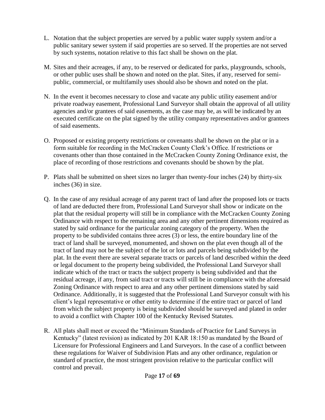- L. Notation that the subject properties are served by a public water supply system and/or a public sanitary sewer system if said properties are so served. If the properties are not served by such systems, notation relative to this fact shall be shown on the plat.
- M. Sites and their acreages, if any, to be reserved or dedicated for parks, playgrounds, schools, or other public uses shall be shown and noted on the plat. Sites, if any, reserved for semipublic, commercial, or multifamily uses should also be shown and noted on the plat.
- N. In the event it becomes necessary to close and vacate any public utility easement and/or private roadway easement, Professional Land Surveyor shall obtain the approval of all utility agencies and/or grantees of said easements, as the case may be, as will be indicated by an executed certificate on the plat signed by the utility company representatives and/or grantees of said easements.
- O. Proposed or existing property restrictions or covenants shall be shown on the plat or in a form suitable for recording in the McCracken County Clerk's Office. If restrictions or covenants other than those contained in the McCracken County Zoning Ordinance exist, the place of recording of those restrictions and covenants should be shown by the plat.
- P. Plats shall be submitted on sheet sizes no larger than twenty-four inches (24) by thirty-six inches (36) in size.
- Q. In the case of any residual acreage of any parent tract of land after the proposed lots or tracts of land are deducted there from, Professional Land Surveyor shall show or indicate on the plat that the residual property will still be in compliance with the McCracken County Zoning Ordinance with respect to the remaining area and any other pertinent dimensions required as stated by said ordinance for the particular zoning category of the property. When the property to be subdivided contains three acres (3) or less, the entire boundary line of the tract of land shall be surveyed, monumented, and shown on the plat even though all of the tract of land may not be the subject of the lot or lots and parcels being subdivided by the plat. In the event there are several separate tracts or parcels of land described within the deed or legal document to the property being subdivided, the Professional Land Surveyor shall indicate which of the tract or tracts the subject property is being subdivided and that the residual acreage, if any, from said tract or tracts will still be in compliance with the aforesaid Zoning Ordinance with respect to area and any other pertinent dimensions stated by said Ordinance. Additionally, it is suggested that the Professional Land Surveyor consult with his client's legal representative or other entity to determine if the entire tract or parcel of land from which the subject property is being subdivided should be surveyed and plated in order to avoid a conflict with Chapter 100 of the Kentucky Revised Statutes.
- R. All plats shall meet or exceed the "Minimum Standards of Practice for Land Surveys in Kentucky" (latest revision) as indicated by 201 KAR 18:150 as mandated by the Board of Licensure for Professional Engineers and Land Surveyors. In the case of a conflict between these regulations for Waiver of Subdivision Plats and any other ordinance, regulation or standard of practice, the most stringent provision relative to the particular conflict will control and prevail.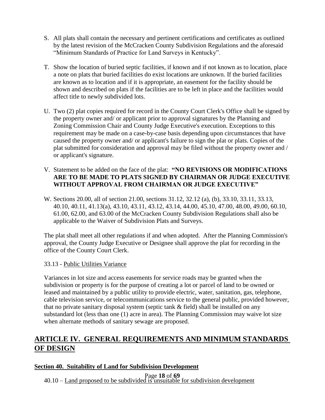- S. All plats shall contain the necessary and pertinent certifications and certificates as outlined by the latest revision of the McCracken County Subdivision Regulations and the aforesaid "Minimum Standards of Practice for Land Surveys in Kentucky".
- T. Show the location of buried septic facilities, if known and if not known as to location, place a note on plats that buried facilities do exist locations are unknown. If the buried facilities are known as to location and if it is appropriate, an easement for the facility should be shown and described on plats if the facilities are to be left in place and the facilities would affect title to newly subdivided lots.
- U. Two (2) plat copies required for record in the County Court Clerk's Office shall be signed by the property owner and/ or applicant prior to approval signatures by the Planning and Zoning Commission Chair and County Judge Executive's execution. Exceptions to this requirement may be made on a case-by-case basis depending upon circumstances that have caused the property owner and/ or applicant's failure to sign the plat or plats. Copies of the plat submitted for consideration and approval may be filed without the property owner and / or applicant's signature.

## V. Statement to be added on the face of the plat: **"NO REVISIONS OR MODIFICATIONS ARE TO BE MADE TO PLATS SIGNED BY CHAIRMAN OR JUDGE EXECUTIVE WITHOUT APPROVAL FROM CHAIRMAN OR JUDGE EXECUTIVE"**

W. Sections 20.00, all of section 21.00, sections 31.12, 32.12 (a), (b), 33.10, 33.11, 33.13, 40.10, 40.11, 41.13(a), 43.10, 43.11, 43.12, 43.14, 44.00, 45.10, 47.00, 48.00, 49.00, 60.10, 61.00, 62.00, and 63.00 of the McCracken County Subdivision Regulations shall also be applicable to the Waiver of Subdivision Plats and Surveys.

The plat shall meet all other regulations if and when adopted. After the Planning Commission's approval, the County Judge Executive or Designee shall approve the plat for recording in the office of the County Court Clerk.

## <span id="page-18-0"></span>33.13 - Public Utilities Variance

Variances in lot size and access easements for service roads may be granted when the subdivision or property is for the purpose of creating a lot or parcel of land to be owned or leased and maintained by a public utility to provide electric, water, sanitation, gas, telephone, cable television service, or telecommunications service to the general public, provided however, that no private sanitary disposal system (septic tank  $\&$  field) shall be installed on any substandard lot (less than one (1) acre in area). The Planning Commission may waive lot size when alternate methods of sanitary sewage are proposed.

# <span id="page-18-1"></span>**ARTICLE IV. GENERAL REQUIREMENTS AND MINIMUM STANDARDS OF DESIGN**

# <span id="page-18-2"></span>**Section 40. Suitability of Land for Subdivision Development**

<span id="page-18-3"></span>Page **18** of **69** 40.10 – Land proposed to be subdivided is unsuitable for subdivision development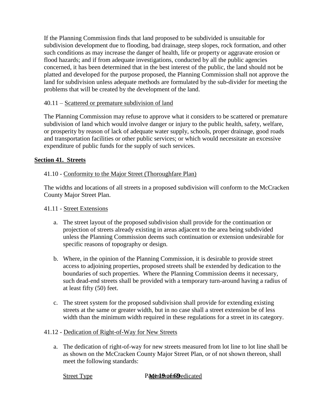If the Planning Commission finds that land proposed to be subdivided is unsuitable for subdivision development due to flooding, bad drainage, steep slopes, rock formation, and other such conditions as may increase the danger of health, life or property or aggravate erosion or flood hazards; and if from adequate investigations, conducted by all the public agencies concerned, it has been determined that in the best interest of the public, the land should not be platted and developed for the purpose proposed, the Planning Commission shall not approve the land for subdivision unless adequate methods are formulated by the sub-divider for meeting the problems that will be created by the development of the land.

#### <span id="page-19-0"></span>40.11 – Scattered or premature subdivision of land

The Planning Commission may refuse to approve what it considers to be scattered or premature subdivision of land which would involve danger or injury to the public health, safety, welfare, or prosperity by reason of lack of adequate water supply, schools, proper drainage, good roads and transportation facilities or other public services; or which would necessitate an excessive expenditure of public funds for the supply of such services.

#### <span id="page-19-1"></span>**Section 41. Streets**

#### <span id="page-19-2"></span>41.10 - Conformity to the Major Street (Thoroughfare Plan)

The widths and locations of all streets in a proposed subdivision will conform to the McCracken County Major Street Plan.

#### <span id="page-19-3"></span>41.11 - Street Extensions

- a. The street layout of the proposed subdivision shall provide for the continuation or projection of streets already existing in areas adjacent to the area being subdivided unless the Planning Commission deems such continuation or extension undesirable for specific reasons of topography or design.
- b. Where, in the opinion of the Planning Commission, it is desirable to provide street access to adjoining properties, proposed streets shall be extended by dedication to the boundaries of such properties. Where the Planning Commission deems it necessary, such dead-end streets shall be provided with a temporary turn-around having a radius of at least fifty (50) feet.
- c. The street system for the proposed subdivision shall provide for extending existing streets at the same or greater width, but in no case shall a street extension be of less width than the minimum width required in these regulations for a street in its category.

#### <span id="page-19-4"></span>41.12 - Dedication of Right-of-Way for New Streets

a. The dedication of right-of-way for new streets measured from lot line to lot line shall be as shown on the McCracken County Major Street Plan, or of not shown thereon, shall meet the following standards:

#### **Street Type Pagent Properties**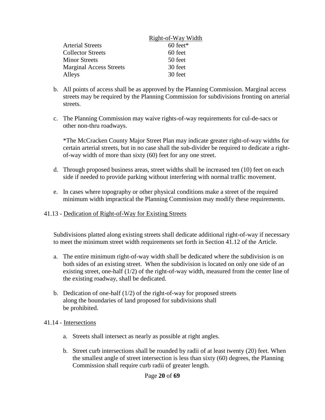|                                | Right-of-Way Width |
|--------------------------------|--------------------|
| <b>Arterial Streets</b>        | $60$ feet*         |
| <b>Collector Streets</b>       | 60 feet            |
| <b>Minor Streets</b>           | 50 feet            |
| <b>Marginal Access Streets</b> | 30 feet            |
| Alleys                         | 30 feet            |

- b. All points of access shall be as approved by the Planning Commission. Marginal access streets may be required by the Planning Commission for subdivisions fronting on arterial streets.
- c. The Planning Commission may waive rights-of-way requirements for cul-de-sacs or other non-thru roadways.

\*The McCracken County Major Street Plan may indicate greater right-of-way widths for certain arterial streets, but in no case shall the sub-divider be required to dedicate a rightof-way width of more than sixty (60) feet for any one street.

- d. Through proposed business areas, street widths shall be increased ten (10) feet on each side if needed to provide parking without interfering with normal traffic movement.
- e. In cases where topography or other physical conditions make a street of the required minimum width impractical the Planning Commission may modify these requirements.
- <span id="page-20-0"></span>41.13 - Dedication of Right-of-Way for Existing Streets

Subdivisions platted along existing streets shall dedicate additional right-of-way if necessary to meet the minimum street width requirements set forth in Section 41.12 of the Article.

- a. The entire minimum right-of-way width shall be dedicated where the subdivision is on both sides of an existing street. When the subdivision is located on only one side of an existing street, one-half (1/2) of the right-of-way width, measured from the center line of the existing roadway, shall be dedicated.
- b. Dedication of one-half (1/2) of the right-of-way for proposed streets along the boundaries of land proposed for subdivisions shall be prohibited.

## <span id="page-20-1"></span>41.14 - Intersections

- a. Streets shall intersect as nearly as possible at right angles.
- b. Street curb intersections shall be rounded by radii of at least twenty (20) feet. When the smallest angle of street intersection is less than sixty (60) degrees, the Planning Commission shall require curb radii of greater length.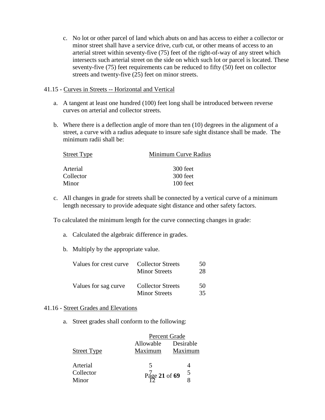c. No lot or other parcel of land which abuts on and has access to either a collector or minor street shall have a service drive, curb cut, or other means of access to an arterial street within seventy-five (75) feet of the right-of-way of any street which intersects such arterial street on the side on which such lot or parcel is located. These seventy-five (75) feet requirements can be reduced to fifty (50) feet on collector streets and twenty-five (25) feet on minor streets.

#### <span id="page-21-0"></span>41.15 - Curves in Streets -- Horizontal and Vertical

- a. A tangent at least one hundred (100) feet long shall be introduced between reverse curves on arterial and collector streets.
- b. Where there is a deflection angle of more than ten (10) degrees in the alignment of a street, a curve with a radius adequate to insure safe sight distance shall be made. The minimum radii shall be:

| <b>Street Type</b> | Minimum Curve Radius |
|--------------------|----------------------|
| Arterial           | 300 feet             |
| Collector          | 300 feet             |
| Minor              | 100 feet             |

c. All changes in grade for streets shall be connected by a vertical curve of a minimum length necessary to provide adequate sight distance and other safety factors.

To calculated the minimum length for the curve connecting changes in grade:

- a. Calculated the algebraic difference in grades.
- b. Multiply by the appropriate value.

| Values for crest curve | <b>Collector Streets</b><br><b>Minor Streets</b> | 50<br>28 |
|------------------------|--------------------------------------------------|----------|
| Values for sag curve   | <b>Collector Streets</b><br><b>Minor Streets</b> | 50<br>35 |

#### <span id="page-21-1"></span>41.16 - Street Grades and Elevations

a. Street grades shall conform to the following:

|                    |               | Percent Grade |  |
|--------------------|---------------|---------------|--|
|                    | Allowable     | Desirable     |  |
| <b>Street Type</b> | Maximum       | Maximum       |  |
| Arterial           |               |               |  |
| Collector          | Page 21 of 69 | 5             |  |
| Minor              |               |               |  |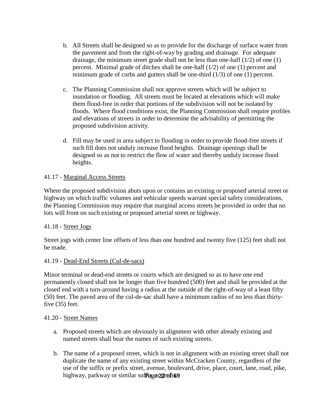- b. All Streets shall be designed so as to provide for the discharge of surface water from the pavement and from the right-of-way by grading and drainage. For adequate drainage, the minimum street grade shall not be less than one-half  $(1/2)$  of one  $(1)$ percent. Minimal grade of ditches shall be one-half (1/2) of one (1) percent and minimum grade of curbs and gutters shall be one-third  $(1/3)$  of one  $(1)$  percent.
- c. The Planning Commission shall not approve streets which will be subject to inundation or flooding. All streets must be located at elevations which will make them flood-free in order that portions of the subdivision will not be isolated by floods. Where flood conditions exist, the Planning Commission shall require profiles and elevations of streets in order to determine the advisability of permitting the proposed subdivision activity.
- d. Fill may be used in area subject to flooding in order to provide flood-free streets if such fill does not unduly increase flood heights. Drainage openings shall be designed so as not to restrict the flow of water and thereby unduly increase flood heights.

## <span id="page-22-0"></span>41.17 - Marginal Access Streets

Where the proposed subdivision abuts upon or contains an existing or proposed arterial street or highway on which traffic volumes and vehicular speeds warrant special safety considerations, the Planning Commission may require that marginal access streets be provided in order that no lots will front on such existing or proposed arterial street or highway.

#### <span id="page-22-1"></span>41.18 - Street Jogs

Street jogs with center line offsets of less than one hundred and twenty five (125) feet shall not be made.

#### <span id="page-22-2"></span>41.19 - Dead-End Streets (Cul-de-sacs)

Minor terminal or dead-end streets or courts which are designed so as to have one end permanently closed shall not be longer than five hundred (500) feet and shall be provided at the closed end with a turn-around having a radius at the outside of the right-of-way of a least fifty (50) feet. The paved area of the cul-de-sac shall have a minimum radius of no less than thirtyfive (35) feet.

#### <span id="page-22-3"></span>41.20 - Street Names

- a. Proposed streets which are obviously in alignment with other already existing and named streets shall bear the names of such existing streets.
- highway, parkway or similar suf**fagor2@rofit@** b. The name of a proposed street, which is not in alignment with an existing street shall not duplicate the name of any existing street within McCracken County, regardless of the use of the suffix or prefix street, avenue, boulevard, drive, place, court, lane, road, pike,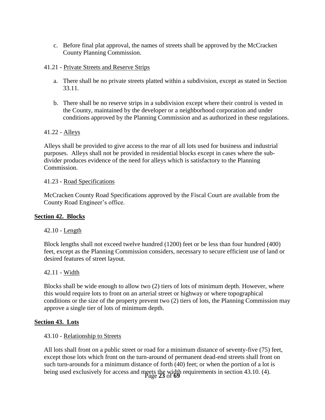c. Before final plat approval, the names of streets shall be approved by the McCracken County Planning Commission.

#### <span id="page-23-0"></span>41.21 - Private Streets and Reserve Strips

- a. There shall be no private streets platted within a subdivision, except as stated in Section 33.11.
- b. There shall be no reserve strips in a subdivision except where their control is vested in the County, maintained by the developer or a neighborhood corporation and under conditions approved by the Planning Commission and as authorized in these regulations.

#### <span id="page-23-1"></span>41.22 - Alleys

Alleys shall be provided to give access to the rear of all lots used for business and industrial purposes. Alleys shall not be provided in residential blocks except in cases where the subdivider produces evidence of the need for alleys which is satisfactory to the Planning Commission.

#### <span id="page-23-2"></span>41.23 - Road Specifications

<span id="page-23-3"></span>McCracken County Road Specifications approved by the Fiscal Court are available from the County Road Engineer's office.

## **Section 42. Blocks**

## <span id="page-23-4"></span>42.10 - Length

Block lengths shall not exceed twelve hundred (1200) feet or be less than four hundred (400) feet, except as the Planning Commission considers, necessary to secure efficient use of land or desired features of street layout.

#### <span id="page-23-5"></span>42.11 - Width

Blocks shall be wide enough to allow two (2) tiers of lots of minimum depth. However, where this would require lots to front on an arterial street or highway or where topographical conditions or the size of the property prevent two (2) tiers of lots, the Planning Commission may approve a single tier of lots of minimum depth.

#### <span id="page-23-6"></span>**Section 43. Lots**

#### <span id="page-23-7"></span>43.10 - Relationship to Streets

being used exclusively for access and meets the width requirements in section 43.10. (4).<br>Page 23 of 69 All lots shall front on a public street or road for a minimum distance of seventy-five (75) feet, except those lots which front on the turn-around of permanent dead-end streets shall front on such turn-arounds for a minimum distance of forth (40) feet; or when the portion of a lot is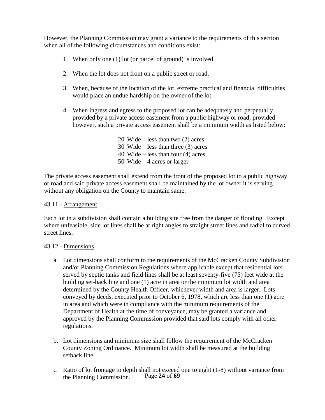However, the Planning Commission may grant a variance to the requirements of this section when all of the following circumstances and conditions exist:

- 1. When only one (1) lot (or parcel of ground) is involved.
- 2. When the lot does not front on a public street or road.
- 3. When, because of the location of the lot, extreme practical and financial difficulties would place an undue hardship on the owner of the lot.
- 4. When ingress and egress to the proposed lot can be adequately and perpetually provided by a private access easement from a public highway or road; provided however, such a private access easement shall be a minimum width as listed below:

20' Wide – less than two (2) acres 30' Wide – less than three (3) acres 40' Wide – less than four (4) acres 50' Wide – 4 acres or larger

The private access easement shall extend from the front of the proposed lot to a public highway or road and said private access easement shall be maintained by the lot owner it is serving without any obligation on the County to maintain same.

#### <span id="page-24-0"></span>43.11 - Arrangement

Each lot in a subdivision shall contain a building site free from the danger of flooding. Except where unfeasible, side lot lines shall be at right angles to straight street lines and radial to curved street lines.

#### <span id="page-24-1"></span>43.12 - Dimensions

- a. Lot dimensions shall conform to the requirements of the McCracken County Subdivision and/or Planning Commission Regulations where applicable except that residential lots served by septic tanks and field lines shall be at least seventy-five (75) feet wide at the building set-back line and one (1) acre in area or the minimum lot width and area determined by the County Health Officer, whichever width and area is larger. Lots conveyed by deeds, executed prior to October 6, 1978, which are less than one (1) acre in area and which were in compliance with the minimum requirements of the Department of Health at the time of conveyance, may be granted a variance and approved by the Planning Commission provided that said lots comply with all other regulations.
- b. Lot dimensions and minimum size shall follow the requirement of the McCracken County Zoning Ordinance. Minimum lot width shall be measured at the building setback line.
- Page **24** of **69** c. Ratio of lot frontage to depth shall not exceed one to eight (1-8) without variance from the Planning Commission.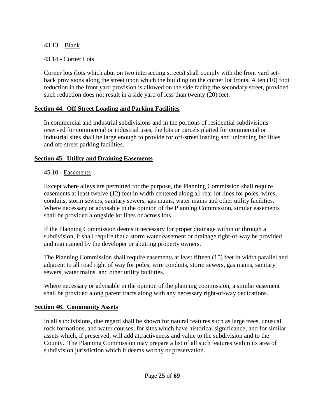# <span id="page-25-0"></span>43.13 – Blank

# <span id="page-25-1"></span>43.14 - Corner Lots

Corner lots (lots which abut on two intersecting streets) shall comply with the front yard setback provisions along the street upon which the building on the corner lot fronts. A ten (10) foot reduction in the front yard provision is allowed on the side facing the secondary street, provided such reduction does not result in a side yard of less than twenty (20) feet.

# <span id="page-25-2"></span>**Section 44. Off Street Loading and Parking Facilities**

In commercial and industrial subdivisions and in the portions of residential subdivisions reserved for commercial or industrial uses, the lots or parcels platted for commercial or industrial sites shall be large enough to provide for off-street loading and unloading facilities and off-street parking facilities.

# <span id="page-25-3"></span>**Section 45. Utility and Draining Easements**

# <span id="page-25-4"></span>45.10 - Easements

Except where alleys are permitted for the purpose, the Planning Commission shall require easements at least twelve (12) feet in width centered along all rear lot lines for poles, wires, conduits, storm sewers, sanitary sewers, gas mains, water mains and other utility facilities. Where necessary or advisable in the opinion of the Planning Commission, similar easements shall be provided alongside lot lines or across lots.

If the Planning Commission deems it necessary for proper drainage within or through a subdivision, it shall require that a storm water easement or drainage right-of-way be provided and maintained by the developer or abutting property owners.

The Planning Commission shall require easements at least fifteen (15) feet in width parallel and adjacent to all road right of way for poles, wire conduits, storm sewers, gas mains, sanitary sewers, water mains, and other utility facilities.

Where necessary or advisable in the opinion of the planning commission, a similar easement shall be provided along parent tracts along with any necessary right-of-way dedications.

# <span id="page-25-5"></span>**Section 46. Community Assets**

In all subdivisions, due regard shall be shown for natural features such as large trees, unusual rock formations, and water courses; for sites which have historical significance; and for similar assets which, if preserved, will add attractiveness and value to the subdivision and to the County. The Planning Commission may prepare a list of all such features within its area of subdivision jurisdiction which it deems worthy or preservation.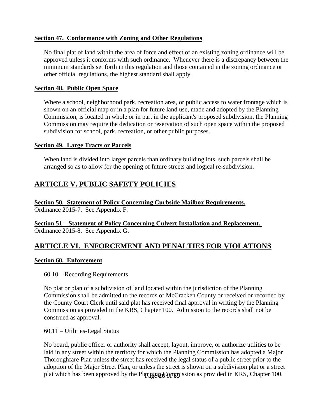## <span id="page-26-0"></span>**Section 47. Conformance with Zoning and Other Regulations**

No final plat of land within the area of force and effect of an existing zoning ordinance will be approved unless it conforms with such ordinance. Whenever there is a discrepancy between the minimum standards set forth in this regulation and those contained in the zoning ordinance or other official regulations, the highest standard shall apply.

#### <span id="page-26-1"></span>**Section 48. Public Open Space**

Where a school, neighborhood park, recreation area, or public access to water frontage which is shown on an official map or in a plan for future land use, made and adopted by the Planning Commission, is located in whole or in part in the applicant's proposed subdivision, the Planning Commission may require the dedication or reservation of such open space within the proposed subdivision for school, park, recreation, or other public purposes.

#### <span id="page-26-2"></span>**Section 49. Large Tracts or Parcels**

When land is divided into larger parcels than ordinary building lots, such parcels shall be arranged so as to allow for the opening of future streets and logical re-subdivision.

# <span id="page-26-3"></span>**ARTICLE V. PUBLIC SAFETY POLICIES**

<span id="page-26-4"></span>**Section 50. Statement of Policy Concerning Curbside Mailbox Requirements.** Ordinance 2015-7. See Appendix F.

## <span id="page-26-5"></span>**Section 51 – Statement of Policy Concerning Culvert Installation and Replacement.** Ordinance 2015-8. See Appendix G.

# <span id="page-26-6"></span>**ARTICLE VI. ENFORCEMENT AND PENALTIES FOR VIOLATIONS**

#### <span id="page-26-7"></span>**Section 60. Enforcement**

<span id="page-26-8"></span>60.10 – Recording Requirements

No plat or plan of a subdivision of land located within the jurisdiction of the Planning Commission shall be admitted to the records of McCracken County or received or recorded by the County Court Clerk until said plat has received final approval in writing by the Planning Commission as provided in the KRS, Chapter 100. Admission to the records shall not be construed as approval.

<span id="page-26-9"></span>60.11 – Utilities-Legal Status

plat which has been approved by the Planning Commission as provided in KRS, Chapter 100. No board, public officer or authority shall accept, layout, improve, or authorize utilities to be laid in any street within the territory for which the Planning Commission has adopted a Major Thoroughfare Plan unless the street has received the legal status of a public street prior to the adoption of the Major Street Plan, or unless the street is shown on a subdivision plat or a street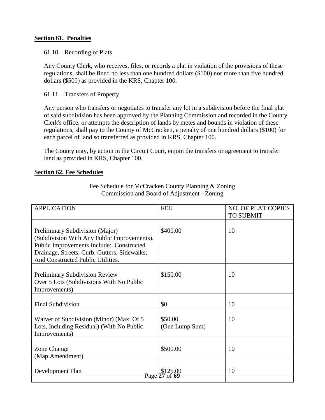#### <span id="page-27-0"></span>**Section 61. Penalties**

#### <span id="page-27-1"></span>61.10 – Recording of Plats

Any County Clerk, who receives, files, or records a plat in violation of the provisions of these regulations, shall be fined no less than one hundred dollars (\$100) nor more than five hundred dollars (\$500) as provided in the KRS, Chapter 100.

<span id="page-27-2"></span>61.11 – Transfers of Property

Any person who transfers or negotiates to transfer any lot in a subdivision before the final plat of said subdivision has been approved by the Planning Commission and recorded in the County Clerk's office, or attempts the description of lands by metes and bounds in violation of these regulations, shall pay to the County of McCracken, a penalty of one hundred dollars (\$100) for each parcel of land so transferred as provided in KRS, Chapter 100.

The County may, by action in the Circuit Court, enjoin the transfers or agreement to transfer land as provided in KRS, Chapter 100.

#### <span id="page-27-3"></span>**Section 62. Fee Schedules**

| <b>APPLICATION</b>                                                                                                                                                                                              | <b>FEE</b>                | <b>NO. OF PLAT COPIES</b><br><b>TO SUBMIT</b> |
|-----------------------------------------------------------------------------------------------------------------------------------------------------------------------------------------------------------------|---------------------------|-----------------------------------------------|
| Preliminary Subdivision (Major)<br>(Subdivision With Any Public Improvements).<br>Public Improvements Include: Constructed<br>Drainage, Streets, Curb, Gutters, Sidewalks;<br>And Constructed Public Utilities. | \$400.00                  | 10                                            |
| <b>Preliminary Subdivision Review</b><br>Over 5 Lots (Subdivisions With No Public<br>Improvements)                                                                                                              | \$150.00                  | 10                                            |
| <b>Final Subdivision</b>                                                                                                                                                                                        | \$0                       | 10                                            |
| Waiver of Subdivision (Minor) (Max. Of 5<br>Lots, Including Residual) (With No Public<br>Improvements)                                                                                                          | \$50.00<br>(One Lump Sum) | 10                                            |
| Zone Change<br>(Map Amendment)                                                                                                                                                                                  | \$500.00                  | 10                                            |
| Development Plan                                                                                                                                                                                                | \$125.00<br>Page 27 of    | 10                                            |

Fee Schedule for McCracken County Planning & Zoning Commission and Board of Adjustment - Zoning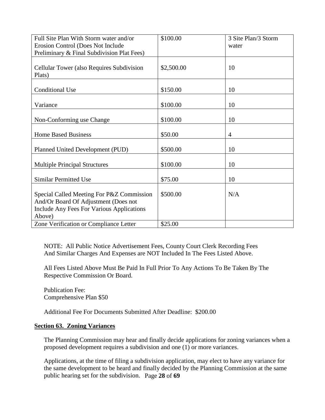| Full Site Plan With Storm water and/or     | \$100.00   | 3 Site Plan/3 Storm |
|--------------------------------------------|------------|---------------------|
| Erosion Control (Does Not Include          |            | water               |
| Preliminary & Final Subdivision Plat Fees) |            |                     |
|                                            |            |                     |
| Cellular Tower (also Requires Subdivision  | \$2,500.00 | 10                  |
| Plats)                                     |            |                     |
|                                            |            |                     |
| <b>Conditional Use</b>                     | \$150.00   | 10                  |
|                                            |            |                     |
| Variance                                   | \$100.00   | 10                  |
|                                            |            |                     |
| Non-Conforming use Change                  | \$100.00   | 10                  |
|                                            |            |                     |
| <b>Home Based Business</b>                 | \$50.00    | 4                   |
|                                            |            |                     |
| Planned United Development (PUD)           | \$500.00   | 10                  |
|                                            |            |                     |
| <b>Multiple Principal Structures</b>       | \$100.00   | 10                  |
|                                            |            |                     |
| <b>Similar Permitted Use</b>               | \$75.00    | 10                  |
|                                            |            |                     |
| Special Called Meeting For P&Z Commission  | \$500.00   | N/A                 |
| And/Or Board Of Adjustment (Does not       |            |                     |
| Include Any Fees For Various Applications  |            |                     |
| Above)                                     |            |                     |
| Zone Verification or Compliance Letter     | \$25.00    |                     |

NOTE: All Public Notice Advertisement Fees, County Court Clerk Recording Fees And Similar Charges And Expenses are NOT Included In The Fees Listed Above.

All Fees Listed Above Must Be Paid In Full Prior To Any Actions To Be Taken By The Respective Commission Or Board.

Publication Fee: Comprehensive Plan \$50

Additional Fee For Documents Submitted After Deadline: \$200.00

#### <span id="page-28-0"></span>**Section 63. Zoning Variances**

The Planning Commission may hear and finally decide applications for zoning variances when a proposed development requires a subdivision and one (1) or more variances.

public hearing set for the subdivision. Page 28 of 69 Applications, at the time of filing a subdivision application, may elect to have any variance for the same development to be heard and finally decided by the Planning Commission at the same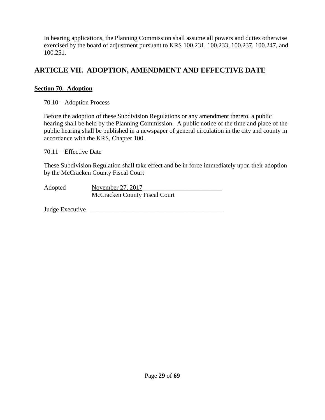In hearing applications, the Planning Commission shall assume all powers and duties otherwise exercised by the board of adjustment pursuant to KRS 100.231, 100.233, 100.237, 100.247, and 100.251.

# <span id="page-29-0"></span>**ARTICLE VII. ADOPTION, AMENDMENT AND EFFECTIVE DATE**

# <span id="page-29-1"></span>**Section 70. Adoption**

<span id="page-29-2"></span>70.10 – Adoption Process

Before the adoption of these Subdivision Regulations or any amendment thereto, a public hearing shall be held by the Planning Commission. A public notice of the time and place of the public hearing shall be published in a newspaper of general circulation in the city and county in accordance with the KRS, Chapter 100.

<span id="page-29-3"></span>70.11 – Effective Date

These Subdivision Regulation shall take effect and be in force immediately upon their adoption by the McCracken County Fiscal Court

Adopted November 27, 2017 McCracken County Fiscal Court

Judge Executive \_\_\_\_\_\_\_\_\_\_\_\_\_\_\_\_\_\_\_\_\_\_\_\_\_\_\_\_\_\_\_\_\_\_\_\_\_\_\_\_\_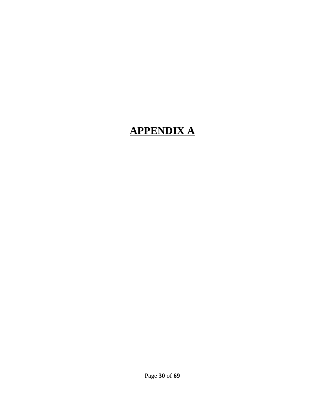# <span id="page-30-0"></span>**APPENDIX A**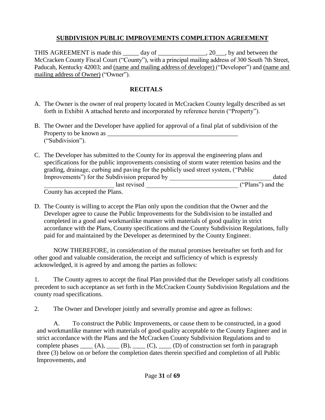# **SUBDIVISION PUBLIC IMPROVEMENTS COMPLETION AGREEMENT**

THIS AGREEMENT is made this \_\_\_\_\_ day of \_\_\_\_\_\_\_\_\_\_\_\_\_\_\_, 20\_\_\_, by and between the McCracken County Fiscal Court ("County"), with a principal mailing address of 300 South 7th Street, Paducah, Kentucky 42003; and (name and mailing address of developer) ("Developer") and (name and mailing address of Owner) ("Owner").

# **RECITALS**

- A. The Owner is the owner of real property located in McCracken County legally described as set forth in Exhibit A attached hereto and incorporated by reference herein ("Property").
- B. The Owner and the Developer have applied for approval of a final plat of subdivision of the Property to be known as \_\_\_\_\_\_\_\_\_\_\_\_\_\_\_\_\_\_\_\_\_\_\_\_\_\_\_\_\_\_\_\_\_\_\_\_\_\_\_\_\_ ("Subdivision").
- C. The Developer has submitted to the County for its approval the engineering plans and specifications for the public improvements consisting of storm water retention basins and the grading, drainage, curbing and paving for the publicly used street system, ("Public Improvements") for the Subdivision prepared by \_\_\_\_\_\_\_\_\_\_\_\_\_\_\_\_\_\_\_\_\_\_\_\_\_\_\_\_\_\_\_\_ dated

denote last revised the set of the set of the set of the set of the set of the set of the set of the set of the set of the set of the set of the set of the set of the set of the set of the set of the set of the set of the County has accepted the Plans.

D. The County is willing to accept the Plan only upon the condition that the Owner and the Developer agree to cause the Public Improvements for the Subdivision to be installed and completed in a good and workmanlike manner with materials of good quality in strict accordance with the Plans, County specifications and the County Subdivision Regulations, fully paid for and maintained by the Developer as determined by the County Engineer.

NOW THEREFORE, in consideration of the mutual promises hereinafter set forth and for other good and valuable consideration, the receipt and sufficiency of which is expressly acknowledged, it is agreed by and among the parties as follows:

1. The County agrees to accept the final Plan provided that the Developer satisfy all conditions precedent to such acceptance as set forth in the McCracken County Subdivision Regulations and the county road specifications.

2. The Owner and Developer jointly and severally promise and agree as follows:

A. To construct the Public Improvements, or cause them to be constructed, in a good and workmanlike manner with materials of good quality acceptable to the County Engineer and in strict accordance with the Plans and the McCracken County Subdivision Regulations and to complete phases  $(A)$ ,  $(B)$ ,  $(C)$ ,  $(D)$  of construction set forth in paragraph three (3) below on or before the completion dates therein specified and completion of all Public Improvements, and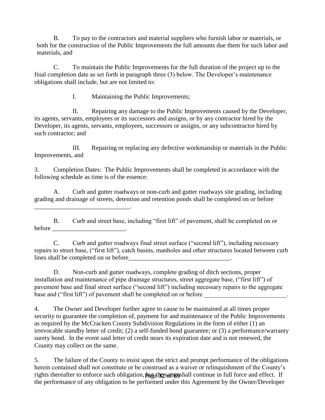B. To pay to the contractors and material suppliers who furnish labor or materials, or both for the construction of the Public Improvements the full amounts due them for such labor and materials, and

C. To maintain the Public Improvements for the full duration of the project up to the final completion date as set forth in paragraph three (3) below. The Developer's maintenance obligations shall include, but are not limited to:

I. Maintaining the Public Improvements;

II. Repairing any damage to the Public Improvements caused by the Developer, its agents, servants, employees or its successors and assigns, or by any contractor hired by the Developer, its agents, servants, employees, successors or assigns, or any subcontractor hired by such contractor; and

III. Repairing or replacing any defective workmanship or materials in the Public Improvements, and

3. Completion Dates: The Public Improvements shall be completed in accordance with the following schedule as time is of the essence:

A. Curb and gutter roadways or non-curb and gutter roadways site grading, including grading and drainage of streets, detention and retention ponds shall be completed on or before \_\_\_\_\_\_\_\_\_\_\_\_\_\_\_\_\_\_\_\_\_\_\_\_\_\_\_\_\_\_.

B. Curb and street base, including "first lift" of pavement, shall be completed on or before  $\Box$ 

C. Curb and gutter roadways final street surface ("second lift"), including necessary repairs to street base, ("first lift"), catch basins, manholes and other structures located between curb lines shall be completed on or before

D. Non-curb and gutter roadways, complete grading of ditch sections, proper installation and maintenance of pipe drainage structures, street aggregate base, ("first lift") of pavement base and final street surface ("second lift") including necessary repairs to the aggregate base and ("first lift") of pavement shall be completed on or before

4. The Owner and Developer further agree to cause to be maintained at all times proper security to guarantee the completion of, payment for and maintenance of the Public Improvements as required by the McCracken County Subdivision Regulations in the form of either (1) an irrevocable standby letter of credit; (2) a self-funded bond guarantee; or (3) a performance/warranty surety bond. In the event said letter of credit nears its expiration date and is not renewed, the County may collect on the same.

rights thereafter to enforce such obligation, but the same shall continue in full force and effect. If 5. The failure of the County to insist upon the strict and prompt performance of the obligations herein contained shall not constitute or be construed as a waiver or relinquishment of the County's the performance of any obligation to be performed under this Agreement by the Owner/Developer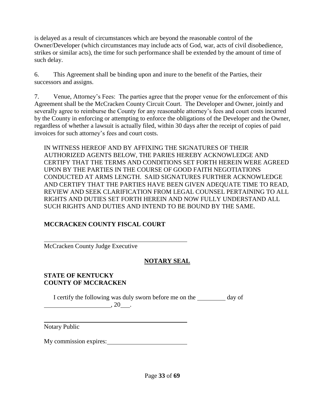is delayed as a result of circumstances which are beyond the reasonable control of the Owner/Developer (which circumstances may include acts of God, war, acts of civil disobedience, strikes or similar acts), the time for such performance shall be extended by the amount of time of such delay.

6. This Agreement shall be binding upon and inure to the benefit of the Parties, their successors and assigns.

7. Venue, Attorney's Fees: The parties agree that the proper venue for the enforcement of this Agreement shall be the McCracken County Circuit Court. The Developer and Owner, jointly and severally agree to reimburse the County for any reasonable attorney's fees and court costs incurred by the County in enforcing or attempting to enforce the obligations of the Developer and the Owner, regardless of whether a lawsuit is actually filed, within 30 days after the receipt of copies of paid invoices for such attorney's fees and court costs.

IN WITNESS HEREOF AND BY AFFIXING THE SIGNATURES OF THEIR AUTHORIZED AGENTS BELOW, THE PARIES HEREBY ACKNOWLEDGE AND CERTIFY THAT THE TERMS AND CONDITIONS SET FORTH HEREIN WERE AGREED UPON BY THE PARTIES IN THE COURSE OF GOOD FAITH NEGOTIATIONS CONDUCTED AT ARMS LENGTH. SAID SIGNATURES FURTHER ACKNOWLEDGE AND CERTIFY THAT THE PARTIES HAVE BEEN GIVEN ADEQUATE TIME TO READ, REVIEW AND SEEK CLARIFICATION FROM LEGAL COUNSEL PERTAINING TO ALL RIGHTS AND DUTIES SET FORTH HEREIN AND NOW FULLY UNDERSTAND ALL SUCH RIGHTS AND DUTIES AND INTEND TO BE BOUND BY THE SAME.

# **MCCRACKEN COUNTY FISCAL COURT**

McCracken County Judge Executive

# **NOTARY SEAL**

# **STATE OF KENTUCKY COUNTY OF MCCRACKEN**

I certify the following was duly sworn before me on the day of  $\overline{\phantom{a}}$ , 20  $\overline{\phantom{a}}$ .

Notary Public

My commission expires: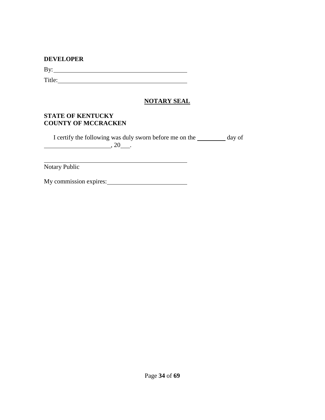#### **DEVELOPER**

By:

Title: The contract of the contract of the contract of the contract of the contract of the contract of the contract of the contract of the contract of the contract of the contract of the contract of the contract of the con

# **NOTARY SEAL**

## **STATE OF KENTUCKY COUNTY OF MCCRACKEN**

I certify the following was duly sworn before me on the day of  $\overline{\phantom{a}}$ , 20

<u> 1980 - Johann Barbara, martxa alemaniar a</u>

Notary Public

My commission expires: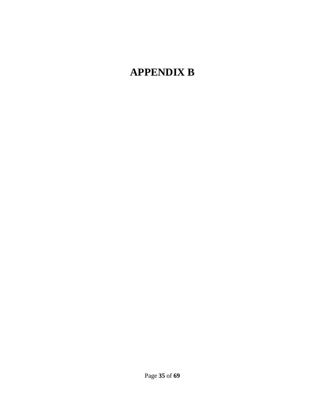# <span id="page-35-0"></span>**APPENDIX B**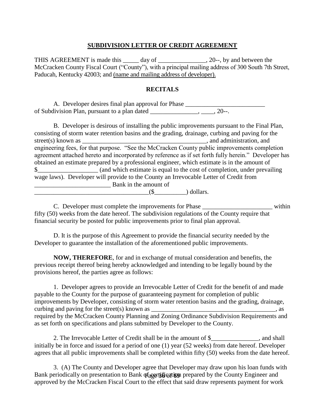#### **SUBDIVISION LETTER OF CREDIT AGREEMENT**

THIS AGREEMENT is made this \_\_\_\_\_\_ day of \_\_\_\_\_\_\_\_\_\_\_\_\_\_\_, 20--, by and between the McCracken County Fiscal Court ("County"), with a principal mailing address of 300 South 7th Street, Paducah, Kentucky 42003; and (name and mailing address of developer).

#### **RECITALS**

A. Developer desires final plan approval for Phase \_\_\_\_\_\_\_\_\_\_\_\_\_\_\_\_\_\_\_\_\_\_\_\_\_\_\_\_\_\_ of Subdivision Plan, pursuant to a plan dated \_\_\_\_\_\_\_\_\_\_\_\_\_\_\_, \_\_\_\_, 20--.

B. Developer is desirous of installing the public improvements pursuant to the Final Plan, consisting of storm water retention basins and the grading, drainage, curbing and paving for the street(s) known as **a** street(s) known as **a** street(s) known as **a** street(s) known as **a** street(s) known as **a** street(s) known as **a** street(s) known as **a** street(s) known as **a** street(s) known as **a** street(s) known engineering fees, for that purpose. "See the McCracken County public improvements completion agreement attached hereto and incorporated by reference as if set forth fully herein." Developer has obtained an estimate prepared by a professional engineer, which estimate is in the amount of \$ (and which estimate is equal to the cost of completion, under prevailing wage laws). Developer will provide to the County an Irrevocable Letter of Credit from \_\_\_\_\_\_\_\_\_\_\_\_\_\_\_\_\_\_\_\_\_\_\_\_ Bank in the amount of \_\_\_\_\_\_\_\_\_\_\_\_\_\_\_\_\_\_\_\_\_\_\_\_\_\_\_\_\_\_\_\_\_\_\_\_(\$\_\_\_\_\_\_\_\_\_\_) dollars.

C. Developer must complete the improvements for Phase within fifty (50) weeks from the date hereof. The subdivision regulations of the County require that financial security be posted for public improvements prior to final plan approval.

D. It is the purpose of this Agreement to provide the financial security needed by the Developer to guarantee the installation of the aforementioned public improvements.

**NOW, THEREFORE**, for and in exchange of mutual consideration and benefits, the previous receipt thereof being hereby acknowledged and intending to be legally bound by the provisions hereof, the parties agree as follows:

1. Developer agrees to provide an Irrevocable Letter of Credit for the benefit of and made payable to the County for the purpose of guaranteeing payment for completion of public improvements by Developer, consisting of storm water retention basins and the grading, drainage, curbing and paving for the street(s) known as  $\Box$ required by the McCracken County Planning and Zoning Ordinance Subdivision Requirements and as set forth on specifications and plans submitted by Developer to the County.

2. The Irrevocable Letter of Credit shall be in the amount of \$\_\_\_\_\_\_\_\_\_\_\_\_\_\_\_, and shall initially be in force and issued for a period of one (1) year (52 weeks) from date hereof. Developer agrees that all public improvements shall be completed within fifty (50) weeks from the date hereof.

Bank periodically on presentation to Bank  $q$ <sub>agget</sub>  $q$  and prepared by the County Engineer and 3. (A) The County and Developer agree that Developer may draw upon his loan funds with approved by the McCracken Fiscal Court to the effect that said draw represents payment for work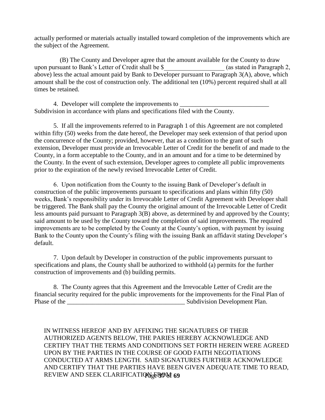actually performed or materials actually installed toward completion of the improvements which are the subject of the Agreement.

 (B) The County and Developer agree that the amount available for the County to draw upon pursuant to Bank's Letter of Credit shall be \$\_\_\_\_\_\_\_\_\_\_\_\_\_\_\_\_\_\_\_ (as stated in Paragraph 2, above) less the actual amount paid by Bank to Developer pursuant to Paragraph 3(A), above, which amount shall be the cost of construction only. The additional ten (10%) percent required shall at all times be retained.

4. Developer will complete the improvements to Subdivision in accordance with plans and specifications filed with the County.

5. If all the improvements referred to in Paragraph 1 of this Agreement are not completed within fifty (50) weeks from the date hereof, the Developer may seek extension of that period upon the concurrence of the County; provided, however, that as a condition to the grant of such extension, Developer must provide an Irrevocable Letter of Credit for the benefit of and made to the County, in a form acceptable to the County, and in an amount and for a time to be determined by the County. In the event of such extension, Developer agrees to complete all public improvements prior to the expiration of the newly revised Irrevocable Letter of Credit.

6. Upon notification from the County to the issuing Bank of Developer's default in construction of the public improvements pursuant to specifications and plans within fifty (50) weeks, Bank's responsibility under its Irrevocable Letter of Credit Agreement with Developer shall be triggered. The Bank shall pay the County the original amount of the Irrevocable Letter of Credit less amounts paid pursuant to Paragraph 3(B) above, as determined by and approved by the County; said amount to be used by the County toward the completion of said improvements. The required improvements are to be completed by the County at the County's option, with payment by issuing Bank to the County upon the County's filing with the issuing Bank an affidavit stating Developer's default.

7. Upon default by Developer in construction of the public improvements pursuant to specifications and plans, the County shall be authorized to withhold (a) permits for the further construction of improvements and (b) building permits.

8. The County agrees that this Agreement and the Irrevocable Letter of Credit are the financial security required for the public improvements for the improvements for the Final Plan of Phase of the \_\_\_\_\_\_\_\_\_\_\_\_\_\_\_\_\_\_\_\_\_\_\_\_\_\_\_\_\_\_\_\_\_\_\_\_\_ Subdivision Development Plan.

REVIEW AND SEEK CLARIFICATION<sub>S</sub>EROM 69 IN WITNESS HEREOF AND BY AFFIXING THE SIGNATURES OF THEIR AUTHORIZED AGENTS BELOW, THE PARIES HEREBY ACKNOWLEDGE AND CERTIFY THAT THE TERMS AND CONDITIONS SET FORTH HEREIN WERE AGREED UPON BY THE PARTIES IN THE COURSE OF GOOD FAITH NEGOTIATIONS CONDUCTED AT ARMS LENGTH. SAID SIGNATURES FURTHER ACKNOWLEDGE AND CERTIFY THAT THE PARTIES HAVE BEEN GIVEN ADEQUATE TIME TO READ,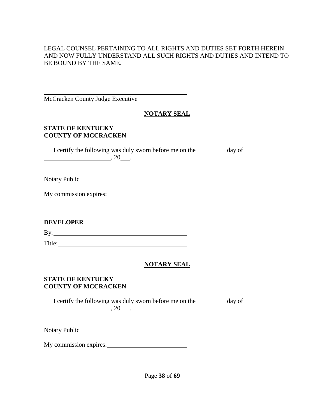# LEGAL COUNSEL PERTAINING TO ALL RIGHTS AND DUTIES SET FORTH HEREIN AND NOW FULLY UNDERSTAND ALL SUCH RIGHTS AND DUTIES AND INTEND TO BE BOUND BY THE SAME.

McCracken County Judge Executive

# **NOTARY SEAL**

## **STATE OF KENTUCKY COUNTY OF MCCRACKEN**

I certify the following was duly sworn before me on the \_\_\_\_\_\_\_\_\_ day of  $, 20$ .

Notary Public

My commission expires:

# **DEVELOPER**

By: <u>second</u> and the second second second second second second second second second second second second second second second second second second second second second second second second second second second second secon

Title: The contract of the contract of the contract of the contract of the contract of the contract of the contract of the contract of the contract of the contract of the contract of the contract of the contract of the con

# **NOTARY SEAL**

## **STATE OF KENTUCKY COUNTY OF MCCRACKEN**

I certify the following was duly sworn before me on the day of  $\overline{\phantom{a}}$ , 20  $\overline{\phantom{a}}$ .

Notary Public

My commission expires: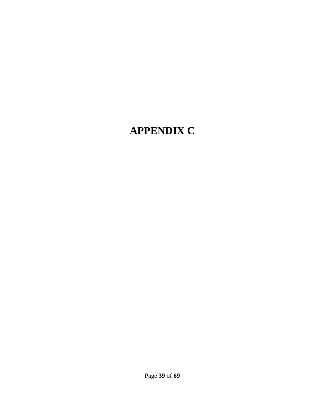# <span id="page-39-0"></span>**APPENDIX C**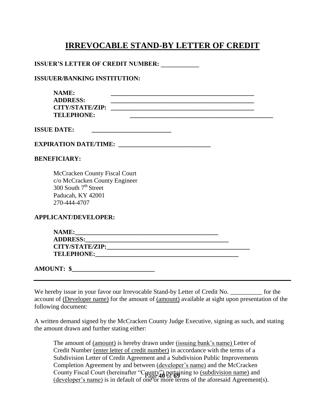# **IRREVOCABLE STAND-BY LETTER OF CREDIT**

#### **ISSUER'S LETTER OF CREDIT NUMBER:**

#### **ISSUUER/BANKING INSTITUTION:**

| <b>NAME:</b><br><b>ADDRESS:</b><br><b>CITY/STATE/ZIP:</b><br><b>TELEPHONE:</b>                                                                                                                                                          | the control of the control of the control of the control of the control of the control of<br><u> 1989 - Johann John Stone, markin film yn y brenin y brenin y brenin y brenin y brenin y brenin y brenin y br</u> |
|-----------------------------------------------------------------------------------------------------------------------------------------------------------------------------------------------------------------------------------------|-------------------------------------------------------------------------------------------------------------------------------------------------------------------------------------------------------------------|
| <b>ISSUE DATE:</b>                                                                                                                                                                                                                      |                                                                                                                                                                                                                   |
| EXPIRATION DATE/TIME: ________________________________                                                                                                                                                                                  |                                                                                                                                                                                                                   |
| <b>BENEFICIARY:</b>                                                                                                                                                                                                                     |                                                                                                                                                                                                                   |
| McCracken County Fiscal Court<br>c/o McCracken County Engineer<br>300 South $7th$ Street<br>Paducah, KY 42001<br>270-444-4707<br><b>APPLICANT/DEVELOPER:</b>                                                                            |                                                                                                                                                                                                                   |
|                                                                                                                                                                                                                                         |                                                                                                                                                                                                                   |
| NAME:<br>ADDRESS: North Contract of the Contract of the Contract of the Contract of the Contract of the Contract of the Contract of the Contract of the Contract of the Contract of the Contract of the Contract of the Contract of the |                                                                                                                                                                                                                   |
|                                                                                                                                                                                                                                         |                                                                                                                                                                                                                   |
|                                                                                                                                                                                                                                         |                                                                                                                                                                                                                   |
|                                                                                                                                                                                                                                         |                                                                                                                                                                                                                   |

**AMOUNT:** \$

We hereby issue in your favor our Irrevocable Stand-by Letter of Credit No.  $\qquad \qquad$  for the account of (Developer name) for the amount of (amount) available at sight upon presentation of the following document:

A written demand signed by the McCracken County Judge Executive, signing as such, and stating the amount drawn and further stating either:

County Fiscal Court (hereinafter "County") pertaining to <u>(subdivision name)</u> and<br>(developed name) is in defendant of Page 40 of 69 name of the efemacid Associated The amount of (amount) is hereby drawn under (issuing bank's name) Letter of Credit Number (enter letter of credit number) in accordance with the terms of a Subdivision Letter of Credit Agreement and a Subdivision Public Improvements Completion Agreement by and between (developer's name) and the McCracken (developer's name) is in default of one or more terms of the aforesaid Agreement(s).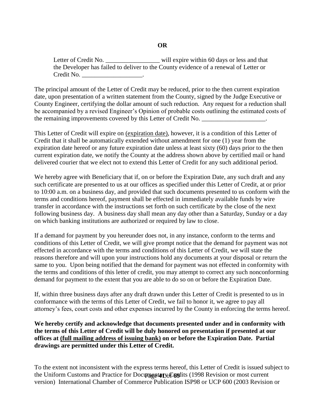## **OR**

Letter of Credit No. \_\_\_\_\_\_\_\_\_\_\_\_\_\_\_\_\_\_\_\_ will expire within 60 days or less and that the Developer has failed to deliver to the County evidence of a renewal of Letter or Credit No. \_\_\_\_\_\_\_\_\_\_\_\_\_\_\_\_\_\_\_\_\_\_\_.

The principal amount of the Letter of Credit may be reduced, prior to the then current expiration date, upon presentation of a written statement from the County, signed by the Judge Executive or County Engineer, certifying the dollar amount of such reduction. Any request for a reduction shall be accompanied by a revised Engineer's Opinion of probable costs outlining the estimated costs of the remaining improvements covered by this Letter of Credit No.

This Letter of Credit will expire on (expiration date), however, it is a condition of this Letter of Credit that it shall be automatically extended without amendment for one (1) year from the expiration date hereof or any future expiration date unless at least sixty (60) days prior to the then current expiration date, we notify the County at the address shown above by certified mail or hand delivered courier that we elect not to extend this Letter of Credit for any such additional period.

We hereby agree with Beneficiary that if, on or before the Expiration Date, any such draft and any such certificate are presented to us at our offices as specified under this Letter of Credit, at or prior to 10:00 a.m. on a business day, and provided that such documents presented to us conform with the terms and conditions hereof, payment shall be effected in immediately available funds by wire transfer in accordance with the instructions set forth on such certificate by the close of the next following business day. A business day shall mean any day other than a Saturday, Sunday or a day on which banking institutions are authorized or required by law to close.

If a demand for payment by you hereunder does not, in any instance, conform to the terms and conditions of this Letter of Credit, we will give prompt notice that the demand for payment was not effected in accordance with the terms and conditions of this Letter of Credit, we will state the reasons therefore and will upon your instructions hold any documents at your disposal or return the same to you. Upon being notified that the demand for payment was not effected in conformity with the terms and conditions of this letter of credit, you may attempt to correct any such nonconforming demand for payment to the extent that you are able to do so on or before the Expiration Date.

If, within three business days after any draft drawn under this Letter of Credit is presented to us in conformance with the terms of this Letter of Credit, we fail to honor it, we agree to pay all attorney's fees, court costs and other expenses incurred by the County in enforcing the terms hereof.

**We hereby certify and acknowledge that documents presented under and in conformity with the terms of this Letter of Credit will be duly honored on presentation if presented at our offices at (full mailing address of issuing bank) on or before the Expiration Date. Partial drawings are permitted under this Letter of Credit.** 

the Uniform Customs and Practice for Documentary Credits (1998 Revision or most current To the extent not inconsistent with the express terms hereof, this Letter of Credit is issued subject to version) International Chamber of Commerce Publication ISP98 or UCP 600 (2003 Revision or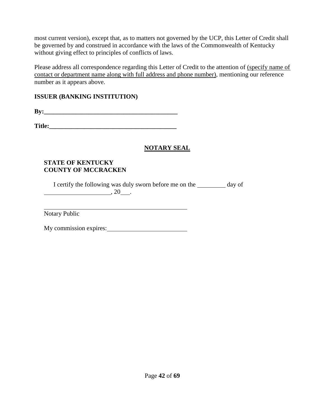most current version), except that, as to matters not governed by the UCP, this Letter of Credit shall be governed by and construed in accordance with the laws of the Commonwealth of Kentucky without giving effect to principles of conflicts of laws.

Please address all correspondence regarding this Letter of Credit to the attention of (specify name of contact or department name along with full address and phone number), mentioning our reference number as it appears above.

# **ISSUER (BANKING INSTITUTION)**

**By:** 

**Title:** 

# **NOTARY SEAL**

# **STATE OF KENTUCKY COUNTY OF MCCRACKEN**

I certify the following was duly sworn before me on the \_\_\_\_\_\_\_\_\_ day of  $\overbrace{\phantom{aaaaa}}^{20}$ , 20

Notary Public

My commission expires: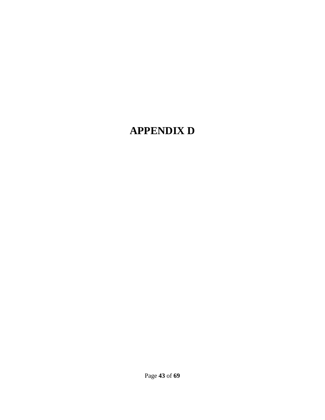# <span id="page-43-0"></span>**APPENDIX D**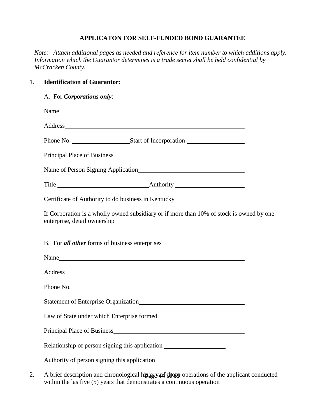#### **APPLICATON FOR SELF-FUNDED BOND GUARANTEE**

*Note: Attach additional pages as needed and reference for item number to which additions apply. Information which the Guarantor determines is a trade secret shall be held confidential by McCracken County.*

## 1. **Identification of Guarantor:**

#### A. For *Corporations only*:

| Name                                                                                                                                                                                                                           |  |
|--------------------------------------------------------------------------------------------------------------------------------------------------------------------------------------------------------------------------------|--|
| Address and the contract of the contract of the contract of the contract of the contract of the contract of the contract of the contract of the contract of the contract of the contract of the contract of the contract of th |  |
|                                                                                                                                                                                                                                |  |
| Principal Place of Business <b>Exercísies Principal Place of Business</b>                                                                                                                                                      |  |
|                                                                                                                                                                                                                                |  |
|                                                                                                                                                                                                                                |  |
| Certificate of Authority to do business in Kentucky_____________________________                                                                                                                                               |  |
| If Corporation is a wholly owned subsidiary or if more than 10% of stock is owned by one<br><u> 1989 - Johann Stoff, amerikansk politiker (* 1908)</u>                                                                         |  |
| B. For all other forms of business enterprises                                                                                                                                                                                 |  |
| Name                                                                                                                                                                                                                           |  |
| Address and the contract of the contract of the contract of the contract of the contract of the contract of the contract of the contract of the contract of the contract of the contract of the contract of the contract of th |  |
| Phone No.                                                                                                                                                                                                                      |  |
|                                                                                                                                                                                                                                |  |
|                                                                                                                                                                                                                                |  |
|                                                                                                                                                                                                                                |  |
| Relationship of person signing this application ________________________________                                                                                                                                               |  |
|                                                                                                                                                                                                                                |  |

2. A brief description and chronological history of the operations of the applicant conducted within the las five (5) years that demonstrates a continuous operation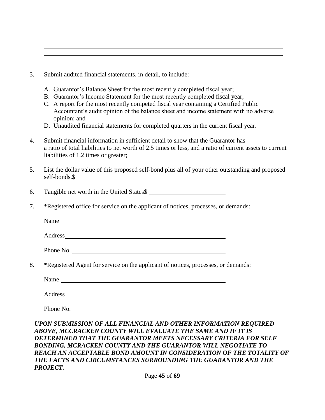| 3. | Submit audited financial statements, in detail, to include: |  |  |  |
|----|-------------------------------------------------------------|--|--|--|
|    |                                                             |  |  |  |

- A. Guarantor's Balance Sheet for the most recently completed fiscal year;
- B. Guarantor's Income Statement for the most recently completed fiscal year;
- C. A report for the most recently competed fiscal year containing a Certified Public Accountant's audit opinion of the balance sheet and income statement with no adverse opinion; and
- D. Unaudited financial statements for completed quarters in the current fiscal year.
- 4. Submit financial information in sufficient detail to show that the Guarantor has a ratio of total liabilities to net worth of 2.5 times or less, and a ratio of current assets to current liabilities of 1.2 times or greater;
- 5. List the dollar value of this proposed self-bond plus all of your other outstanding and proposed self-bonds.\$
- 6. Tangible net worth in the United States\$
- 7. \*Registered office for service on the applicant of notices, processes, or demands:

Name and the state of the state of the state of the state of the state of the state of the state of the state of the state of the state of the state of the state of the state of the state of the state of the state of the s

Address

Phone No.

8. \*Registered Agent for service on the applicant of notices, processes, or demands:

Name and the contract of the contract of the contract of the contract of the contract of the contract of the contract of the contract of the contract of the contract of the contract of the contract of the contract of the c

Address and the state of the state of the state of the state of the state of the state of the state of the state of the state of the state of the state of the state of the state of the state of the state of the state of th

Phone No.

#### *UPON SUBMISSION OF ALL FINANCIAL AND OTHER INFORMATION REQUIRED ABOVE, MCCRACKEN COUNTY WILL EVALUATE THE SAME AND IF IT IS DETERMINED THAT THE GUARANTOR MEETS NECESSARY CRITERIA FOR SELF BONDING, MCRACKEN COUNTY AND THE GUARANTOR WILL NEGOTIATE TO*  **REACH AN ACCEPTABLE BOND AMOUNT IN CONSIDERATION OF THE TOTALITY OF** *THE FACTS AND CIRCUMSTANCES SURROUNDING THE GUARANTOR AND THE PROJECT.*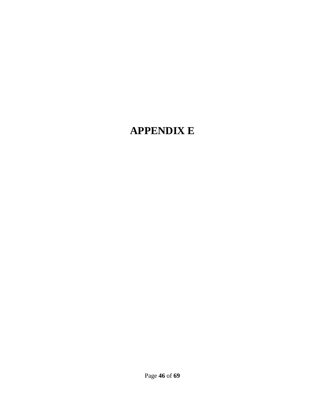# <span id="page-46-0"></span>**APPENDIX E**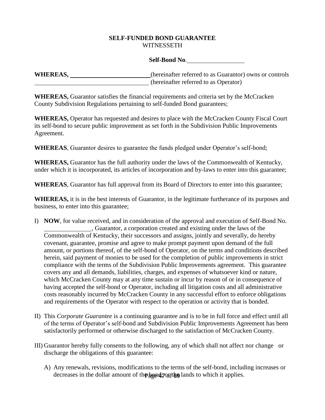#### **SELF-FUNDED BOND GUARANTEE** WITNESSETH

#### **Self-Bond No**.

WHEREAS, \_\_\_\_\_\_\_\_\_\_\_\_\_\_\_\_\_\_\_\_\_\_\_\_\_(hereinafter referred to as Guarantor) owns or controls (hereinafter referred to as Operator)

**WHEREAS,** Guarantor satisfies the financial requirements and criteria set by the McCracken County Subdivision Regulations pertaining to self-funded Bond guarantees;

**WHEREAS,** Operator has requested and desires to place with the McCracken County Fiscal Court its self-bond to secure public improvement as set forth in the Subdivision Public Improvements Agreement.

**WHEREAS**, Guarantor desires to guarantee the funds pledged under Operator's self-bond;

**WHEREAS,** Guarantor has the full authority under the laws of the Commonwealth of Kentucky, under which it is incorporated, its articles of incorporation and by-laws to enter into this guarantee;

**WHEREAS**, Guarantor has full approval from its Board of Directors to enter into this guarantee;

**WHEREAS,** it is in the best interests of Guarantor, in the legitimate furtherance of its purposes and business, to enter into this guarantee;

- I) **NOW**, for value received, and in consideration of the approval and execution of Self-Bond No. , Guarantor, a corporation created and existing under the laws of the Commonwealth of Kentucky, their successors and assigns, jointly and severally, do hereby covenant, guarantee, promise and agree to make prompt payment upon demand of the full amount, or portions thereof, of the self-bond of Operator, on the terms and conditions described herein, said payment of monies to be used for the completion of public improvements in strict compliance with the terms of the Subdivision Public Improvements agreement. This guarantee covers any and all demands, liabilities, charges, and expenses of whatsoever kind or nature, which McCracken County may at any time sustain or incur by reason of or in consequence of having accepted the self-bond or Operator, including all litigation costs and all administrative costs reasonably incurred by McCracken County in any successful effort to enforce obligations and requirements of the Operator with respect to the operation or activity that is bonded.
- II) This *Corporate Guarantee* is a continuing guarantee and is to be in full force and effect until all of the terms of Operator's self-bond and Subdivision Public Improvements Agreement has been satisfactorily performed or otherwise discharged to the satisfaction of McCracken County.
- III) Guarantor hereby fully consents to the following, any of which shall not affect nor change or discharge the obligations of this guarantee:
	- decreases in the dollar amount of the bound, or the lands to which it applies. A) Any renewals, revisions, modifications to the terms of the self-bond, including increases or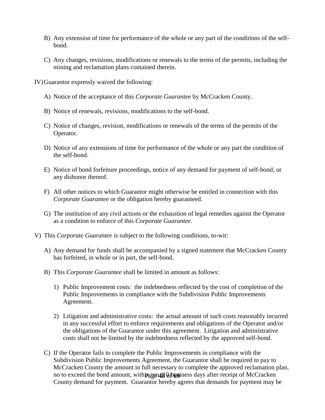- B) Any extension of time for performance of the whole or any part of the conditions of the selfbond.
- C) Any changes, revisions, modifications or renewals to the terms of the permits, including the mining and reclamation plans contained therein.

IV)Guarantor expressly waived the following:

- A) Notice of the acceptance of this *Corporate Guarantee* by McCracken County.
- B) Notice of renewals, revisions, modifications to the self-bond.
- C) Notice of changes, revision, modifications or renewals of the terms of the permits of the Operator.
- D) Notice of any extensions of time for performance of the whole or any part the condition of the self-bond.
- E) Notice of bond forfeiture proceedings, notice of any demand for payment of self-bond; or any dishonor thereof.
- F) All other notices to which Guarantor might otherwise be entitled in connection with this *Corporate Guarantee* or the obligation hereby guaranteed.
- G) The institution of any civil actions or the exhaustion of legal remedies against the Operator as a condition to enforce of this *Corporate Guarantee*.
- V) This *Corporate Guarantee* is subject to the following conditions, to-wit:
	- A) Any demand for funds shall be accompanied by a signed statement that McCracken County has forfeited, in whole or in part, the self-bond.
	- B) This *Corporate Guarantee* shall be limited in amount as follows:
		- 1) Public Improvement costs: the indebtedness reflected by the cost of completion of the Public Improvements in compliance with the Subdivision Public Improvements Agreement.
		- 2) Litigation and administrative costs: the actual amount of such costs reasonably incurred in any successful effort to enforce requirements and obligations of the Operator and/or the obligations of the Guarantor under this agreement. Litigation and administrative costs shall not be limited by the indebtedness reflected by the approved self-bond.
	- no to exceed the bond amount, within ten (80 business days after receipt of McCracken C) If the Operator fails to complete the Public Improvements in compliance with the Subdivision Public Improvements Agreement, the Guarantor shall be required to pay to McCracken County the amount in full necessary to complete the approved reclamation plan, County demand for payment. Guarantor hereby agrees that demands for payment may be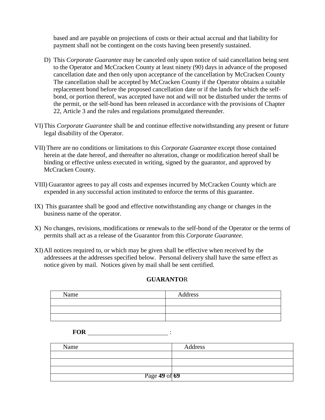based and are payable on projections of costs or their actual accrual and that liability for payment shall not be contingent on the costs having been presently sustained.

- D) This *Corporate Guarantee* may be canceled only upon notice of said cancellation being sent to the Operator and McCracken County at least ninety (90) days in advance of the proposed cancellation date and then only upon acceptance of the cancellation by McCracken County The cancellation shall be accepted by McCracken County if the Operator obtains a suitable replacement bond before the proposed cancellation date or if the lands for which the selfbond, or portion thereof, was accepted have not and will not be disturbed under the terms of the permit, or the self-bond has been released in accordance with the provisions of Chapter 22, Article 3 and the rules and regulations promulgated thereunder.
- VI)This *Corporate Guarantee* shall be and continue effective notwithstanding any present or future legal disability of the Operator.
- VII) There are no conditions or limitations to this *Corporate Guarantee* except those contained herein at the date hereof, and thereafter no alteration, change or modification hereof shall be binding or effective unless executed in writing, signed by the guarantor, and approved by McCracken County.
- VIII) Guarantor agrees to pay all costs and expenses incurred by McCracken County which are expended in any successful action instituted to enforce the terms of this guarantee.
- IX) This guarantee shall be good and effective notwithstanding any change or changes in the business name of the operator.
- X) No changes, revisions, modifications or renewals to the self-bond of the Operator or the terms of permits shall act as a release of the Guarantor from this *Corporate Guarantee*.
- XI)All notices required to, or which may be given shall be effective when received by the addressees at the addresses specified below. Personal delivery shall have the same effect as notice given by mail. Notices given by mail shall be sent certified.

#### **GUARANTO**R

| Name | Address |
|------|---------|
|      |         |
|      |         |
|      |         |

| <b>FOR</b> |  |
|------------|--|
|            |  |
|            |  |

| Name          | Address |
|---------------|---------|
|               |         |
|               |         |
|               |         |
| Page 49 of 69 |         |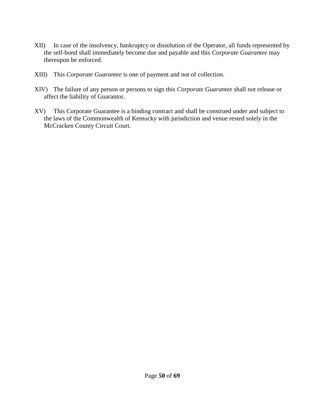- XII) In case of the insolvency, bankruptcy or dissolution of the Operator, all funds represented by the self-bond shall immediately become due and payable and this *Corporate Guarantee* may thereupon be enforced.
- XIII) This *Corporate Guarantee* is one of payment and not of collection.
- XIV) The failure of any person or persons to sign this *Corporate Guarantee* shall not release or affect the liability of Guarantor.
- XV) This Corporate Guarantee is a binding contract and shall be construed under and subject to the laws of the Commonwealth of Kentucky with jurisdiction and venue rested solely in the McCracken County Circuit Court.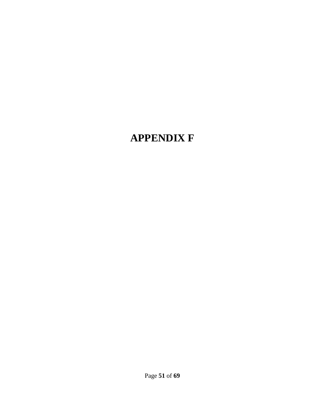# <span id="page-51-0"></span>**APPENDIX F**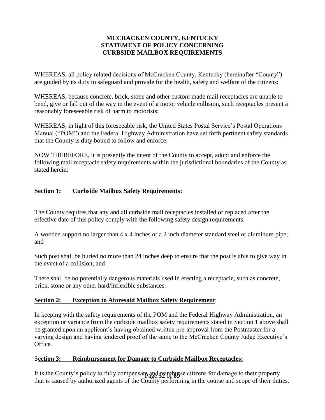## **MCCRACKEN COUNTY, KENTUCKY STATEMENT OF POLICY CONCERNING CURBSIDE MAILBOX REQUIREMENTS**

WHEREAS, all policy related decisions of McCracken County, Kentucky (hereinafter "County") are guided by its duty to safeguard and provide for the health, safety and welfare of the citizens;

WHEREAS, because concrete, brick, stone and other custom made mail receptacles are unable to bend, give or fall out of the way in the event of a motor vehicle collision, such receptacles present a reasonably foreseeable risk of harm to motorists;

WHEREAS, in light of this foreseeable risk, the United States Postal Service's Postal Operations Manual ("POM") and the Federal Highway Administration have set forth pertinent safety standards that the County is duty bound to follow and enforce;

NOW THEREFORE, it is presently the intent of the County to accept, adopt and enforce the following mail receptacle safety requirements within the jurisdictional boundaries of the County as stated herein:

# <span id="page-52-0"></span>**Section 1: Curbside Mailbox Safety Requirements:**

The County requires that any and all curbside mail receptacles installed or replaced after the effective date of this policy comply with the following safety design requirements:

A wooden support no larger than 4 x 4 inches or a 2 inch diameter standard steel or aluminum pipe; and

Such post shall be buried no more than 24 inches deep to ensure that the post is able to give way in the event of a collision; and

There shall be no potentially dangerous materials used in erecting a receptacle, such as concrete, brick, stone or any other hard/inflexible substances.

## **Section 2: Exception to Aforesaid Mailbox Safety Requirement**:

In keeping with the safety requirements of the POM and the Federal Highway Administration, an exception or variance from the curbside mailbox safety requirements stated in Section 1 above shall be granted upon an applicant's having obtained written pre-approval from the Postmaster for a varying design and having tendered proof of the same to the McCracken County Judge Executive's Office.

## S**ection 3: Reimbursement for Damage to Curbside Mailbox Receptacles:**

It is the County's policy to fully compensate and **faithfully** se citizens for damage to their property that is caused by authorized agents of the County performing in the course and scope of their duties.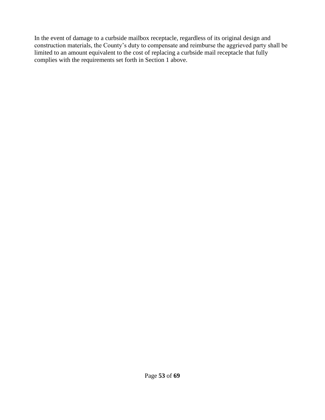In the event of damage to a curbside mailbox receptacle, regardless of its original design and construction materials, the County's duty to compensate and reimburse the aggrieved party shall be limited to an amount equivalent to the cost of replacing a curbside mail receptacle that fully complies with the requirements set forth in Section 1 above.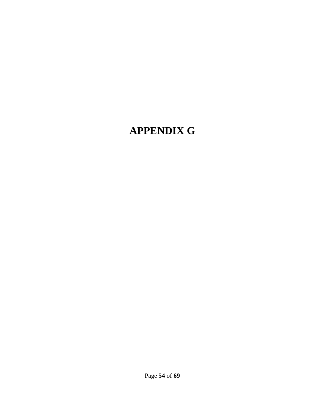# <span id="page-54-0"></span>**APPENDIX G**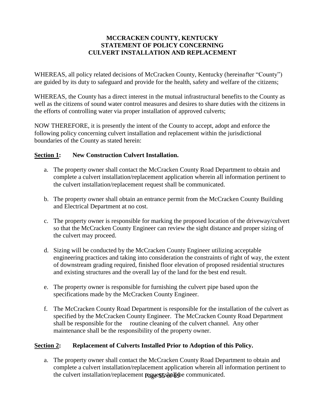## **MCCRACKEN COUNTY, KENTUCKY STATEMENT OF POLICY CONCERNING CULVERT INSTALLATION AND REPLACEMENT**

WHEREAS, all policy related decisions of McCracken County, Kentucky (hereinafter "County") are guided by its duty to safeguard and provide for the health, safety and welfare of the citizens;

WHEREAS, the County has a direct interest in the mutual infrastructural benefits to the County as well as the citizens of sound water control measures and desires to share duties with the citizens in the efforts of controlling water via proper installation of approved culverts;

NOW THEREFORE, it is presently the intent of the County to accept, adopt and enforce the following policy concerning culvert installation and replacement within the jurisdictional boundaries of the County as stated herein:

## **Section 1: New Construction Culvert Installation.**

- a. The property owner shall contact the McCracken County Road Department to obtain and complete a culvert installation/replacement application wherein all information pertinent to the culvert installation/replacement request shall be communicated.
- b. The property owner shall obtain an entrance permit from the McCracken County Building and Electrical Department at no cost.
- c. The property owner is responsible for marking the proposed location of the driveway/culvert so that the McCracken County Engineer can review the sight distance and proper sizing of the culvert may proceed.
- d. Sizing will be conducted by the McCracken County Engineer utilizing acceptable engineering practices and taking into consideration the constraints of right of way, the extent of downstream grading required, finished floor elevation of proposed residential structures and existing structures and the overall lay of the land for the best end result.
- e. The property owner is responsible for furnishing the culvert pipe based upon the specifications made by the McCracken County Engineer.
- f. The McCracken County Road Department is responsible for the installation of the culvert as specified by the McCracken County Engineer. The McCracken County Road Department shall be responsible for the routine cleaning of the culvert channel. Any other maintenance shall be the responsibility of the property owner.

# **Section 2: Replacement of Culverts Installed Prior to Adoption of this Policy.**

the culvert installation/replacement requests shall be communicated. a. The property owner shall contact the McCracken County Road Department to obtain and complete a culvert installation/replacement application wherein all information pertinent to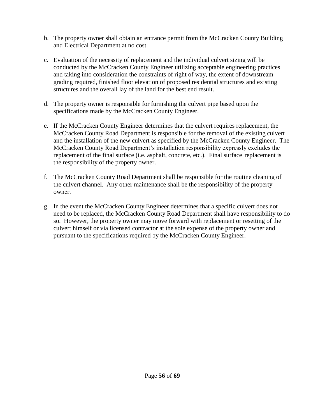- b. The property owner shall obtain an entrance permit from the McCracken County Building and Electrical Department at no cost.
- c. Evaluation of the necessity of replacement and the individual culvert sizing will be conducted by the McCracken County Engineer utilizing acceptable engineering practices and taking into consideration the constraints of right of way, the extent of downstream grading required, finished floor elevation of proposed residential structures and existing structures and the overall lay of the land for the best end result.
- d. The property owner is responsible for furnishing the culvert pipe based upon the specifications made by the McCracken County Engineer.
- e. If the McCracken County Engineer determines that the culvert requires replacement, the McCracken County Road Department is responsible for the removal of the existing culvert and the installation of the new culvert as specified by the McCracken County Engineer. The McCracken County Road Department's installation responsibility expressly excludes the replacement of the final surface (i.e. asphalt, concrete, etc.). Final surface replacement is the responsibility of the property owner.
- f. The McCracken County Road Department shall be responsible for the routine cleaning of the culvert channel. Any other maintenance shall be the responsibility of the property owner.
- g. In the event the McCracken County Engineer determines that a specific culvert does not need to be replaced, the McCracken County Road Department shall have responsibility to do so. However, the property owner may move forward with replacement or resetting of the culvert himself or via licensed contractor at the sole expense of the property owner and pursuant to the specifications required by the McCracken County Engineer.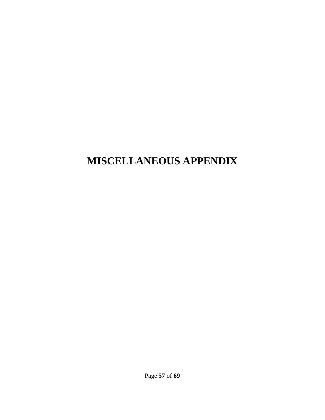# <span id="page-57-0"></span>**MISCELLANEOUS APPENDIX**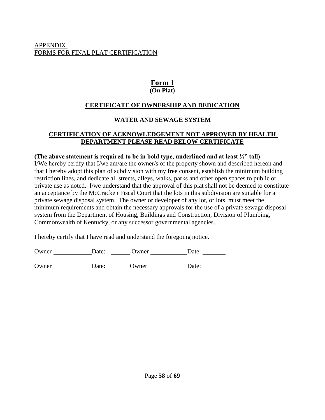# **Form 1 (On Plat)**

# **CERTIFICATE OF OWNERSHIP AND DEDICATION**

# **WATER AND SEWAGE SYSTEM**

# <span id="page-58-0"></span>**CERTIFICATION OF ACKNOWLEDGEMENT NOT APPROVED BY HEALTH DEPARTMENT PLEASE READ BELOW CERTIFICATE**

## **(The above statement is required to be in bold type, underlined and at least ¼" tall)**

I/We hereby certify that I/we am/are the owner/s of the property shown and described hereon and that I hereby adopt this plan of subdivision with my free consent, establish the minimum building restriction lines, and dedicate all streets, alleys, walks, parks and other open spaces to public or private use as noted. I/we understand that the approval of this plat shall not be deemed to constitute an acceptance by the McCracken Fiscal Court that the lots in this subdivision are suitable for a private sewage disposal system. The owner or developer of any lot, or lots, must meet the minimum requirements and obtain the necessary approvals for the use of a private sewage disposal system from the Department of Housing, Buildings and Construction, Division of Plumbing, Commonwealth of Kentucky, or any successor governmental agencies.

I hereby certify that I have read and understand the foregoing notice.

Owner Date: Date: Owner Date: Date:

Owner Date: Date: Owner Date: Date: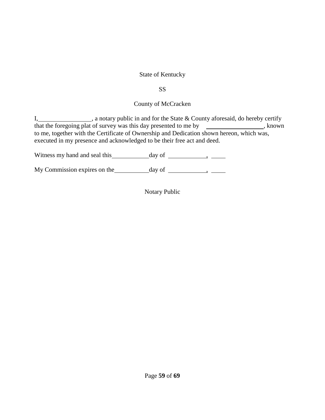# State of Kentucky

SS

# County of McCracken

I, 1. A notary public in and for the State & County aforesaid, do hereby certify that the foregoing plat of survey was this day presented to me by  $\Box$ , known to me, together with the Certificate of Ownership and Dedication shown hereon, which was, executed in my presence and acknowledged to be their free act and deed.

Witness my hand and seal this day of ,

My Commission expires on the  $\_\_\_\_\_\_\_\_\_\_\_\_\_\_\_\_\_\_\_\_\_\_\_$ 

Notary Public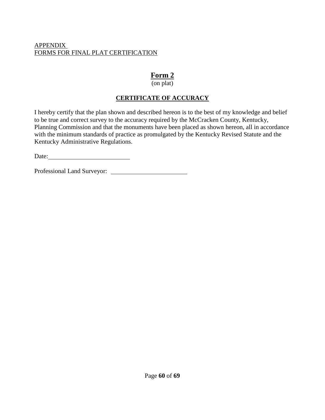# **Form 2**

# (on plat)

# **CERTIFICATE OF ACCURACY**

<span id="page-60-0"></span>I hereby certify that the plan shown and described hereon is to the best of my knowledge and belief to be true and correct survey to the accuracy required by the McCracken County, Kentucky, Planning Commission and that the monuments have been placed as shown hereon, all in accordance with the minimum standards of practice as promulgated by the Kentucky Revised Statute and the Kentucky Administrative Regulations.

Date:

Professional Land Surveyor: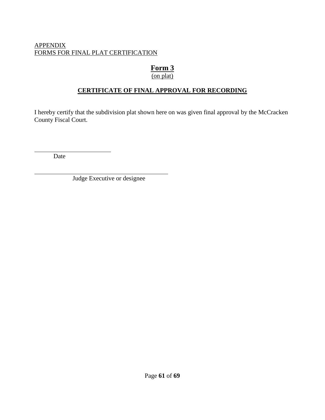# **Form 3**

# (on plat)

# **CERTIFICATE OF FINAL APPROVAL FOR RECORDING**

<span id="page-61-0"></span>I hereby certify that the subdivision plat shown here on was given final approval by the McCracken County Fiscal Court.

Date

Judge Executive or designee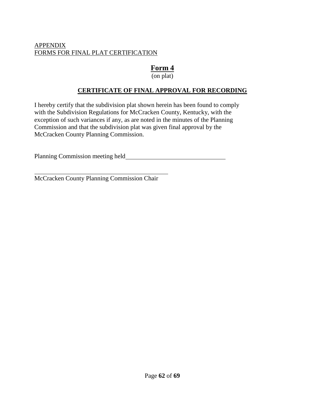# **Form 4**

(on plat)

# **CERTIFICATE OF FINAL APPROVAL FOR RECORDING**

<span id="page-62-0"></span>I hereby certify that the subdivision plat shown herein has been found to comply with the Subdivision Regulations for McCracken County, Kentucky, with the exception of such variances if any, as are noted in the minutes of the Planning Commission and that the subdivision plat was given final approval by the McCracken County Planning Commission.

Planning Commission meeting held

McCracken County Planning Commission Chair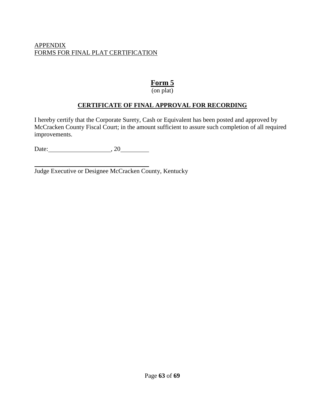# **Form 5**

(on plat)

# **CERTIFICATE OF FINAL APPROVAL FOR RECORDING**

<span id="page-63-0"></span>I hereby certify that the Corporate Surety, Cash or Equivalent has been posted and approved by McCracken County Fiscal Court; in the amount sufficient to assure such completion of all required improvements.

Date: 3.20

Judge Executive or Designee McCracken County, Kentucky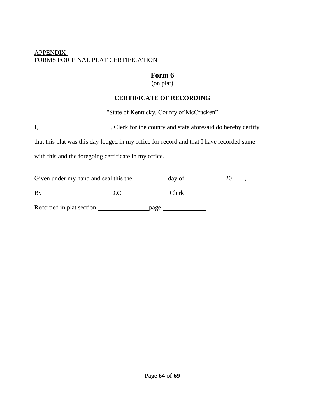# **Form 6**

(on plat)

# **CERTIFICATE OF RECORDING**

"State of Kentucky, County of McCracken"

<span id="page-64-0"></span>

| л. |  | , Clerk for the county and state aforesaid do hereby certify |
|----|--|--------------------------------------------------------------|
|    |  |                                                              |

that this plat was this day lodged in my office for record and that I have recorded same

with this and the foregoing certificate in my office.

Given under my hand and seal this the  $\frac{1}{20}$  day of  $\frac{20}{100}$ ,

By D.C. Clerk

Recorded in plat section page page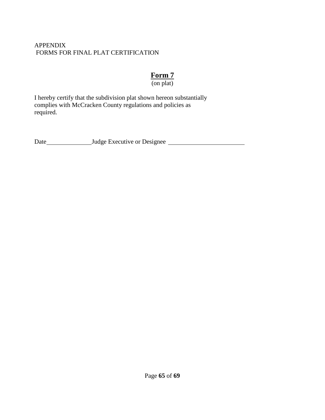# **Form 7**

(on plat)

<span id="page-65-0"></span>I hereby certify that the subdivision plat shown hereon substantially complies with McCracken County regulations and policies as required.

Date Judge Executive or Designee